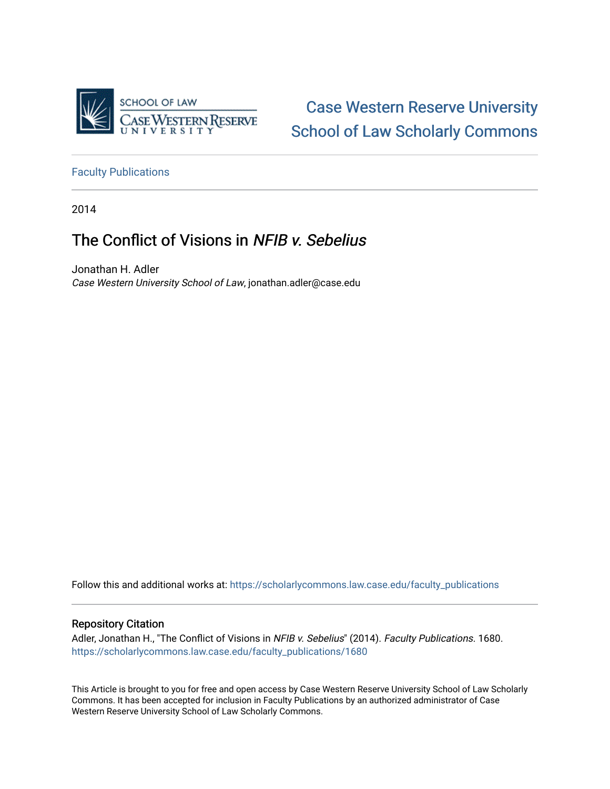

[Case Western Reserve University](https://scholarlycommons.law.case.edu/)  [School of Law Scholarly Commons](https://scholarlycommons.law.case.edu/) 

[Faculty Publications](https://scholarlycommons.law.case.edu/faculty_publications)

2014

# The Conflict of Visions in NFIB v. Sebelius

Jonathan H. Adler Case Western University School of Law, jonathan.adler@case.edu

Follow this and additional works at: [https://scholarlycommons.law.case.edu/faculty\\_publications](https://scholarlycommons.law.case.edu/faculty_publications?utm_source=scholarlycommons.law.case.edu%2Ffaculty_publications%2F1680&utm_medium=PDF&utm_campaign=PDFCoverPages)

# Repository Citation

Adler, Jonathan H., "The Conflict of Visions in NFIB v. Sebelius" (2014). Faculty Publications. 1680. [https://scholarlycommons.law.case.edu/faculty\\_publications/1680](https://scholarlycommons.law.case.edu/faculty_publications/1680?utm_source=scholarlycommons.law.case.edu%2Ffaculty_publications%2F1680&utm_medium=PDF&utm_campaign=PDFCoverPages) 

This Article is brought to you for free and open access by Case Western Reserve University School of Law Scholarly Commons. It has been accepted for inclusion in Faculty Publications by an authorized administrator of Case Western Reserve University School of Law Scholarly Commons.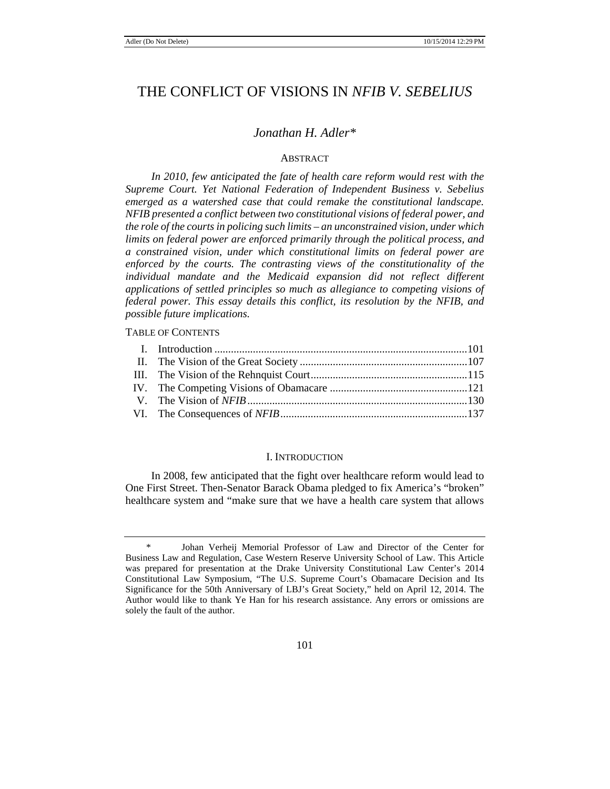# THE CONFLICT OF VISIONS IN *NFIB V. SEBELIUS*

# *Jonathan H. Adler\**

# ABSTRACT

In 2010, few anticipated the fate of health care reform would rest with the *Supreme Court. Yet National Federation of Independent Business v. Sebelius emerged as a watershed case that could remake the constitutional landscape. NFIB presented a conflict between two constitutional visions of federal power, and the role of the courts in policing such limits – an unconstrained vision, under which limits on federal power are enforced primarily through the political process, and a constrained vision, under which constitutional limits on federal power are*  enforced by the courts. The contrasting views of the constitutionality of the *individual mandate and the Medicaid expansion did not reflect different applications of settled principles so much as allegiance to competing visions of federal power. This essay details this conflict, its resolution by the NFIB, and possible future implications.*

TABLE OF CONTENTS

#### I. INTRODUCTION

In 2008, few anticipated that the fight over healthcare reform would lead to One First Street. Then-Senator Barack Obama pledged to fix America's "broken" healthcare system and "make sure that we have a health care system that allows

Johan Verheij Memorial Professor of Law and Director of the Center for Business Law and Regulation, Case Western Reserve University School of Law. This Article was prepared for presentation at the Drake University Constitutional Law Center's 2014 Constitutional Law Symposium, "The U.S. Supreme Court's Obamacare Decision and Its Significance for the 50th Anniversary of LBJ's Great Society," held on April 12, 2014. The Author would like to thank Ye Han for his research assistance. Any errors or omissions are solely the fault of the author.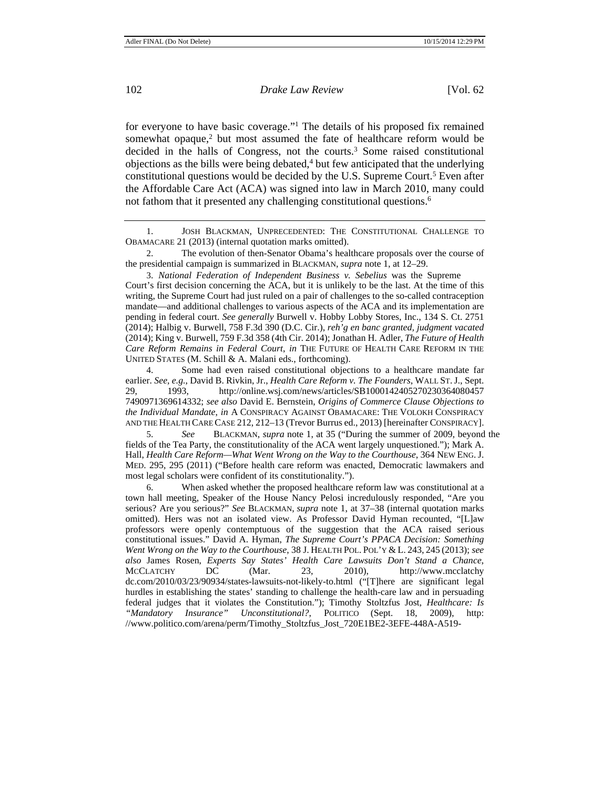for everyone to have basic coverage."1 The details of his proposed fix remained somewhat opaque, $2$  but most assumed the fate of healthcare reform would be decided in the halls of Congress, not the courts.<sup>3</sup> Some raised constitutional  $objections$  as the bills were being debated, $4$  but few anticipated that the underlying constitutional questions would be decided by the U.S. Supreme Court.<sup>5</sup> Even after the Affordable Care Act (ACA) was signed into law in March 2010, many could not fathom that it presented any challenging constitutional questions.<sup>6</sup>

1. JOSH BLACKMAN, UNPRECEDENTED: THE CONSTITUTIONAL CHALLENGE TO OBAMACARE 21 (2013) (internal quotation marks omitted).

2. The evolution of then-Senator Obama's healthcare proposals over the course of the presidential campaign is summarized in BLACKMAN, *supra* note 1, at 12–29.

3. *National Federation of Independent Business v. Sebelius* was the Supreme Court's first decision concerning the ACA, but it is unlikely to be the last. At the time of this writing, the Supreme Court had just ruled on a pair of challenges to the so-called contraception mandate—and additional challenges to various aspects of the ACA and its implementation are pending in federal court. *See generally* Burwell v. Hobby Lobby Stores, Inc., 134 S. Ct. 2751 (2014); Halbig v. Burwell, 758 F.3d 390 (D.C. Cir.), *reh'g en banc granted, judgment vacated*  (2014); King v. Burwell, 759 F.3d 358 (4th Cir. 2014); Jonathan H. Adler, *The Future of Health Care Reform Remains in Federal Court*, *in* THE FUTURE OF HEALTH CARE REFORM IN THE UNITED STATES (M. Schill & A. Malani eds., forthcoming).

4. Some had even raised constitutional objections to a healthcare mandate far earlier. *See, e.g.*, David B. Rivkin, Jr., *Health Care Reform v. The Founders*, WALL ST.J., Sept. 29, 1993, http://online.wsj.com/news/articles/SB1000142405270230364080457 7490971369614332; *see also* David E. Bernstein, *Origins of Commerce Clause Objections to the Individual Mandate*, *in* A CONSPIRACY AGAINST OBAMACARE: THE VOLOKH CONSPIRACY AND THE HEALTH CARE CASE 212, 212–13 (Trevor Burrus ed., 2013) [hereinafter CONSPIRACY].

5. *See* BLACKMAN, *supra* note 1, at 35 ("During the summer of 2009, beyond the fields of the Tea Party, the constitutionality of the ACA went largely unquestioned."); Mark A. Hall, *Health Care Reform—What Went Wrong on the Way to the Courthouse*, 364 NEW ENG.J. MED. 295, 295 (2011) ("Before health care reform was enacted, Democratic lawmakers and most legal scholars were confident of its constitutionality.").

6. When asked whether the proposed healthcare reform law was constitutional at a town hall meeting, Speaker of the House Nancy Pelosi incredulously responded, "Are you serious? Are you serious?" *See* BLACKMAN, *supra* note 1, at 37–38 (internal quotation marks omitted). Hers was not an isolated view. As Professor David Hyman recounted, "[L]aw professors were openly contemptuous of the suggestion that the ACA raised serious constitutional issues." David A. Hyman, *The Supreme Court's PPACA Decision: Something Went Wrong on the Way to the Courthouse*, 38 J. HEALTH POL. POL'Y & L. 243, 245 (2013); *see also* James Rosen, *Experts Say States' Health Care Lawsuits Don't Stand a Chance*, MCCLATCHY DC (Mar. 23, 2010), http://www.mcclatchy dc.com/2010/03/23/90934/states-lawsuits-not-likely-to.html ("[T]here are significant legal hurdles in establishing the states' standing to challenge the health-care law and in persuading federal judges that it violates the Constitution."); Timothy Stoltzfus Jost, *Healthcare: Is "Mandatory Insurance" Unconstitutional?*, POLITICO (Sept. 18, 2009), http: //www.politico.com/arena/perm/Timothy\_Stoltzfus\_Jost\_720E1BE2-3EFE-448A-A519-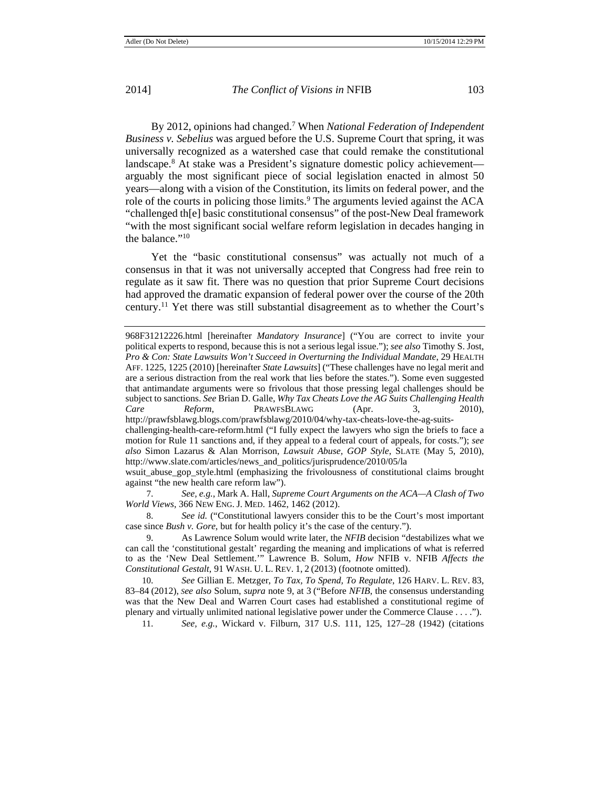By 2012, opinions had changed.7 When *National Federation of Independent Business v. Sebelius* was argued before the U.S. Supreme Court that spring, it was universally recognized as a watershed case that could remake the constitutional landscape.8 At stake was a President's signature domestic policy achievement arguably the most significant piece of social legislation enacted in almost 50 years—along with a vision of the Constitution, its limits on federal power, and the role of the courts in policing those limits.<sup>9</sup> The arguments levied against the ACA "challenged th[e] basic constitutional consensus" of the post-New Deal framework "with the most significant social welfare reform legislation in decades hanging in the balance."10

Yet the "basic constitutional consensus" was actually not much of a consensus in that it was not universally accepted that Congress had free rein to regulate as it saw fit. There was no question that prior Supreme Court decisions had approved the dramatic expansion of federal power over the course of the 20th century.11 Yet there was still substantial disagreement as to whether the Court's

wsuit\_abuse\_gop\_style.html (emphasizing the frivolousness of constitutional claims brought against "the new health care reform law").

7. *See, e.g.*, Mark A. Hall, *Supreme Court Arguments on the ACA—A Clash of Two World Views*, 366 NEW ENG. J. MED. 1462, 1462 (2012).

8. *See id.* ("Constitutional lawyers consider this to be the Court's most important case since *Bush v. Gore*, but for health policy it's the case of the century.").

10. *See* Gillian E. Metzger, *To Tax, To Spend, To Regulate*, 126 HARV. L. REV. 83, 83–84 (2012), *See also* Solum, *supra* note 9, at 3 ("Before *NFIB*, the consensus understanding was that the New Deal and Warren Court cases had established a constitutional regime of plenary and virtually unlimited national legislative power under the Commerce Clause . . . .").

11. *See, e.g.*, Wickard v. Filburn, 317 U.S. 111, 125, 127–28 (1942) (citations

<sup>968</sup>F31212226.html [hereinafter *Mandatory Insurance*] ("You are correct to invite your political experts to respond, because this is not a serious legal issue."); *see also* Timothy S. Jost, *Pro & Con: State Lawsuits Won't Succeed in Overturning the Individual Mandate*, 29 HEALTH AFF. 1225, 1225 (2010) [hereinafter *State Lawsuits*] ("These challenges have no legal merit and are a serious distraction from the real work that lies before the states."). Some even suggested that antimandate arguments were so frivolous that those pressing legal challenges should be subject to sanctions. *See* Brian D. Galle, *Why Tax Cheats Love the AG Suits Challenging Health Care Reform*, PRAWFSBLAWG (Apr. 3, 2010), http://prawfsblawg.blogs.com/prawfsblawg/2010/04/why-tax-cheats-love-the-ag-suitschallenging-health-care-reform.html ("I fully expect the lawyers who sign the briefs to face a motion for Rule 11 sanctions and, if they appeal to a federal court of appeals, for costs."); *see also* Simon Lazarus & Alan Morrison, *Lawsuit Abuse, GOP Style*, SLATE (May 5, 2010), http://www.slate.com/articles/news\_and\_politics/jurisprudence/2010/05/la

<sup>9.</sup> As Lawrence Solum would write later, the *NFIB* decision "destabilizes what we can call the 'constitutional gestalt' regarding the meaning and implications of what is referred to as the 'New Deal Settlement.'" Lawrence B. Solum, *How* NFIB v. NFIB *Affects the Constitutional Gestalt*, 91 WASH. U. L. REV. 1, 2 (2013) (footnote omitted).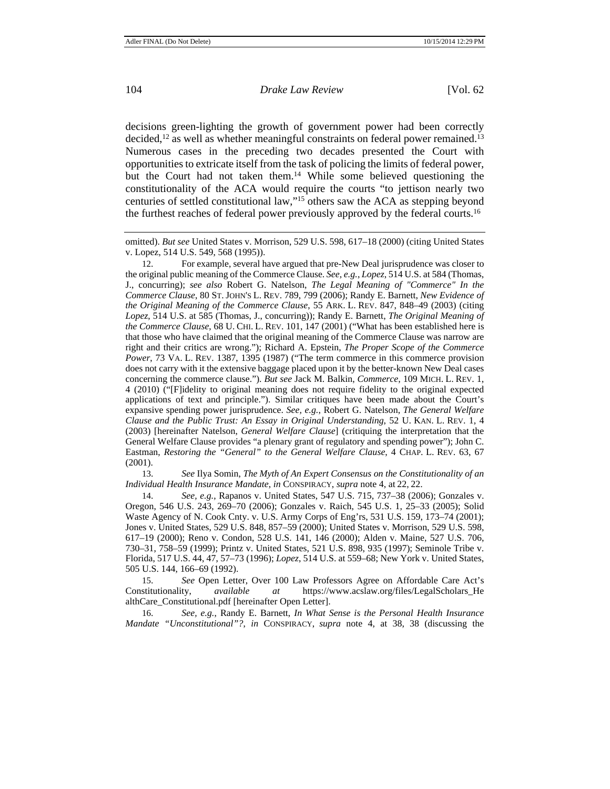decisions green-lighting the growth of government power had been correctly decided,<sup>12</sup> as well as whether meaningful constraints on federal power remained.<sup>13</sup> Numerous cases in the preceding two decades presented the Court with opportunities to extricate itself from the task of policing the limits of federal power, but the Court had not taken them.14 While some believed questioning the constitutionality of the ACA would require the courts "to jettison nearly two centuries of settled constitutional law,"15 others saw the ACA as stepping beyond the furthest reaches of federal power previously approved by the federal courts.<sup>16</sup>

12. For example, several have argued that pre-New Deal jurisprudence was closer to the original public meaning of the Commerce Clause. *See, e.g.*, *Lopez*, 514 U.S. at 584 (Thomas, J., concurring); *see also* Robert G. Natelson, *The Legal Meaning of "Commerce" In the Commerce Clause*, 80 ST. JOHN'S L. REV. 789, 799 (2006); Randy E. Barnett, *New Evidence of the Original Meaning of the Commerce Clause*, 55 ARK. L. REV. 847, 848–49 (2003) (citing *Lopez*, 514 U.S. at 585 (Thomas, J., concurring)); Randy E. Barnett, *The Original Meaning of the Commerce Clause*, 68 U. CHI. L. REV. 101, 147 (2001) ("What has been established here is that those who have claimed that the original meaning of the Commerce Clause was narrow are right and their critics are wrong."); Richard A. Epstein, *The Proper Scope of the Commerce Power*, 73 VA. L. REV. 1387, 1395 (1987) ("The term commerce in this commerce provision does not carry with it the extensive baggage placed upon it by the better-known New Deal cases concerning the commerce clause."). *But see* Jack M. Balkin, *Commerce*, 109 MICH. L. REV. 1, 4 (2010) ("[F]idelity to original meaning does not require fidelity to the original expected applications of text and principle."). Similar critiques have been made about the Court's expansive spending power jurisprudence. *See, e.g.*, Robert G. Natelson, *The General Welfare Clause and the Public Trust: An Essay in Original Understanding*, 52 U. KAN. L. REV. 1, 4 (2003) [hereinafter Natelson, *General Welfare Clause*] (critiquing the interpretation that the General Welfare Clause provides "a plenary grant of regulatory and spending power"); John C. Eastman, *Restoring the "General" to the General Welfare Clause*, 4 CHAP. L. REV. 63, 67 (2001).

13. *See* Ilya Somin, *The Myth of An Expert Consensus on the Constitutionality of an Individual Health Insurance Mandate*, *in* CONSPIRACY, *supra* note 4, at 22, 22.

14. *See, e.g.*, Rapanos v. United States, 547 U.S. 715, 737–38 (2006); Gonzales v. Oregon, 546 U.S. 243, 269–70 (2006); Gonzales v. Raich, 545 U.S. 1, 25–33 (2005); Solid Waste Agency of N. Cook Cnty. v. U.S. Army Corps of Eng'rs, 531 U.S. 159, 173–74 (2001); Jones v. United States, 529 U.S. 848, 857–59 (2000); United States v. Morrison, 529 U.S. 598, 617–19 (2000); Reno v. Condon, 528 U.S. 141, 146 (2000); Alden v. Maine, 527 U.S. 706, 730–31, 758–59 (1999); Printz v. United States, 521 U.S. 898, 935 (1997); Seminole Tribe v. Florida, 517 U.S. 44, 47, 57–73 (1996); *Lopez*, 514 U.S. at 559–68; New York v. United States, 505 U.S. 144, 166–69 (1992).

15. *See* Open Letter, Over 100 Law Professors Agree on Affordable Care Act's Constitutionality, *available at* https://www.acslaw.org/files/LegalScholars\_He althCare\_Constitutional.pdf [hereinafter Open Letter].

16. *See, e.g.*, Randy E. Barnett, *In What Sense is the Personal Health Insurance Mandate "Unconstitutional"?*, *in* CONSPIRACY, *supra* note 4, at 38, 38 (discussing the

omitted). *But see* United States v. Morrison, 529 U.S. 598, 617–18 (2000) (citing United States v. Lopez, 514 U.S. 549, 568 (1995)).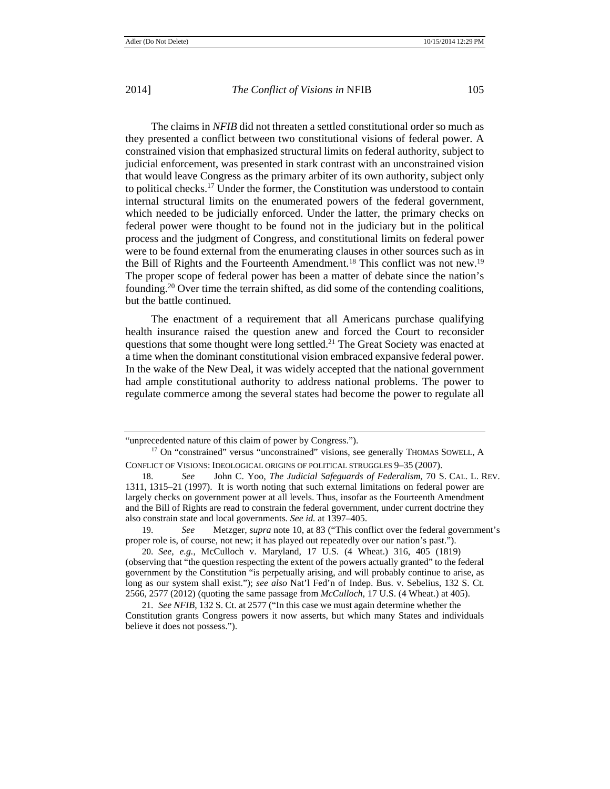The claims in *NFIB* did not threaten a settled constitutional order so much as they presented a conflict between two constitutional visions of federal power. A constrained vision that emphasized structural limits on federal authority, subject to judicial enforcement, was presented in stark contrast with an unconstrained vision that would leave Congress as the primary arbiter of its own authority, subject only to political checks.<sup>17</sup> Under the former, the Constitution was understood to contain internal structural limits on the enumerated powers of the federal government, which needed to be judicially enforced. Under the latter, the primary checks on federal power were thought to be found not in the judiciary but in the political process and the judgment of Congress, and constitutional limits on federal power were to be found external from the enumerating clauses in other sources such as in the Bill of Rights and the Fourteenth Amendment.<sup>18</sup> This conflict was not new.<sup>19</sup> The proper scope of federal power has been a matter of debate since the nation's founding.20 Over time the terrain shifted, as did some of the contending coalitions, but the battle continued.

The enactment of a requirement that all Americans purchase qualifying health insurance raised the question anew and forced the Court to reconsider questions that some thought were long settled.<sup>21</sup> The Great Society was enacted at a time when the dominant constitutional vision embraced expansive federal power. In the wake of the New Deal, it was widely accepted that the national government had ample constitutional authority to address national problems. The power to regulate commerce among the several states had become the power to regulate all

<sup>&</sup>quot;unprecedented nature of this claim of power by Congress.").

<sup>&</sup>lt;sup>17</sup> On "constrained" versus "unconstrained" visions, see generally THOMAS SOWELL, A CONFLICT OF VISIONS: IDEOLOGICAL ORIGINS OF POLITICAL STRUGGLES 9–35 (2007).

<sup>18</sup>. *See* John C. Yoo, *The Judicial Safeguards of Federalism*, 70 S. CAL. L. REV. 1311, 1315–21 (1997). It is worth noting that such external limitations on federal power are largely checks on government power at all levels. Thus, insofar as the Fourteenth Amendment and the Bill of Rights are read to constrain the federal government, under current doctrine they also constrain state and local governments. *See id.* at 1397–405.

<sup>19</sup>. *See* Metzger, *supra* note 10, at 83 ("This conflict over the federal government's proper role is, of course, not new; it has played out repeatedly over our nation's past.").

<sup>20</sup>. *See, e.g.*, McCulloch v. Maryland, 17 U.S. (4 Wheat.) 316, 405 (1819) (observing that "the question respecting the extent of the powers actually granted" to the federal government by the Constitution "is perpetually arising, and will probably continue to arise, as long as our system shall exist."); *see also* Nat'l Fed'n of Indep. Bus. v. Sebelius, 132 S. Ct. 2566, 2577 (2012) (quoting the same passage from *McCulloch*, 17 U.S. (4 Wheat.) at 405).

<sup>21</sup>. *See NFIB*, 132 S. Ct. at 2577 ("In this case we must again determine whether the Constitution grants Congress powers it now asserts, but which many States and individuals believe it does not possess.").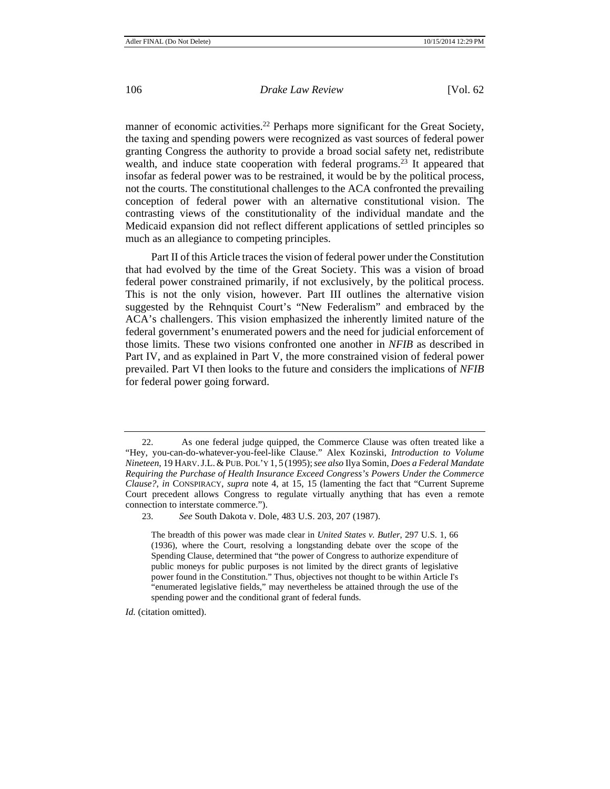manner of economic activities.<sup>22</sup> Perhaps more significant for the Great Society, the taxing and spending powers were recognized as vast sources of federal power granting Congress the authority to provide a broad social safety net, redistribute wealth, and induce state cooperation with federal programs.23 It appeared that insofar as federal power was to be restrained, it would be by the political process, not the courts. The constitutional challenges to the ACA confronted the prevailing conception of federal power with an alternative constitutional vision. The contrasting views of the constitutionality of the individual mandate and the Medicaid expansion did not reflect different applications of settled principles so much as an allegiance to competing principles.

Part II of this Article traces the vision of federal power under the Constitution that had evolved by the time of the Great Society. This was a vision of broad federal power constrained primarily, if not exclusively, by the political process. This is not the only vision, however. Part III outlines the alternative vision suggested by the Rehnquist Court's "New Federalism" and embraced by the ACA's challengers. This vision emphasized the inherently limited nature of the federal government's enumerated powers and the need for judicial enforcement of those limits. These two visions confronted one another in *NFIB* as described in Part IV, and as explained in Part V, the more constrained vision of federal power prevailed. Part VI then looks to the future and considers the implications of *NFIB*  for federal power going forward.

*Id.* (citation omitted).

<sup>22.</sup> As one federal judge quipped, the Commerce Clause was often treated like a "Hey, you-can-do-whatever-you-feel-like Clause." Alex Kozinski, *Introduction to Volume Nineteen*, 19 HARV.J.L.&PUB. POL'Y 1, 5 (1995);*see also* Ilya Somin, *Does a Federal Mandate Requiring the Purchase of Health Insurance Exceed Congress's Powers Under the Commerce Clause?*, *in* CONSPIRACY, *supra* note 4, at 15, 15 (lamenting the fact that "Current Supreme Court precedent allows Congress to regulate virtually anything that has even a remote connection to interstate commerce.").

<sup>23.</sup> *See* South Dakota v. Dole, 483 U.S. 203, 207 (1987).

The breadth of this power was made clear in *United States v. Butler*, 297 U.S. 1, 66 (1936), where the Court, resolving a longstanding debate over the scope of the Spending Clause, determined that "the power of Congress to authorize expenditure of public moneys for public purposes is not limited by the direct grants of legislative power found in the Constitution." Thus, objectives not thought to be within Article I's "enumerated legislative fields," may nevertheless be attained through the use of the spending power and the conditional grant of federal funds.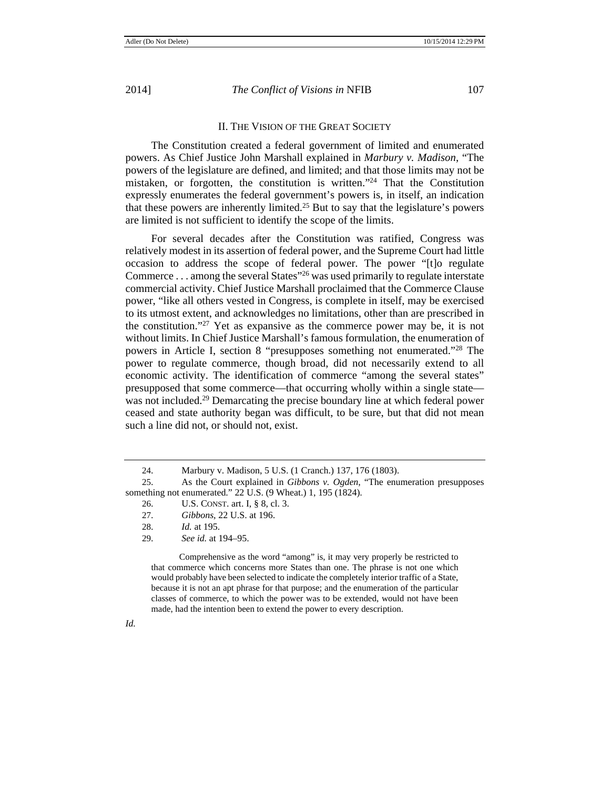# II. THE VISION OF THE GREAT SOCIETY

The Constitution created a federal government of limited and enumerated powers. As Chief Justice John Marshall explained in *Marbury v. Madison*, "The powers of the legislature are defined, and limited; and that those limits may not be mistaken, or forgotten, the constitution is written."24 That the Constitution expressly enumerates the federal government's powers is, in itself, an indication that these powers are inherently limited.25 But to say that the legislature's powers are limited is not sufficient to identify the scope of the limits.

For several decades after the Constitution was ratified, Congress was relatively modest in its assertion of federal power, and the Supreme Court had little occasion to address the scope of federal power. The power "[t]o regulate Commerce  $\dots$  among the several States<sup> $26$ </sup> was used primarily to regulate interstate commercial activity. Chief Justice Marshall proclaimed that the Commerce Clause power, "like all others vested in Congress, is complete in itself, may be exercised to its utmost extent, and acknowledges no limitations, other than are prescribed in the constitution."27 Yet as expansive as the commerce power may be, it is not without limits. In Chief Justice Marshall's famous formulation, the enumeration of powers in Article I, section 8 "presupposes something not enumerated."28 The power to regulate commerce, though broad, did not necessarily extend to all economic activity. The identification of commerce "among the several states" presupposed that some commerce—that occurring wholly within a single state was not included.<sup>29</sup> Demarcating the precise boundary line at which federal power ceased and state authority began was difficult, to be sure, but that did not mean such a line did not, or should not, exist.

Comprehensive as the word "among" is, it may very properly be restricted to that commerce which concerns more States than one. The phrase is not one which would probably have been selected to indicate the completely interior traffic of a State, because it is not an apt phrase for that purpose; and the enumeration of the particular classes of commerce, to which the power was to be extended, would not have been made, had the intention been to extend the power to every description.

*Id.*

<sup>24.</sup> Marbury v. Madison, 5 U.S. (1 Cranch.) 137, 176 (1803).

<sup>25.</sup> As the Court explained in *Gibbons v. Ogden*, "The enumeration presupposes something not enumerated." 22 U.S. (9 Wheat.) 1, 195 (1824).

<sup>26.</sup> U.S. CONST. art. I, § 8, cl. 3.

<sup>27.</sup> *Gibbons*, 22 U.S. at 196.

<sup>28.</sup> *Id.* at 195.

<sup>29.</sup> *See id.* at 194–95.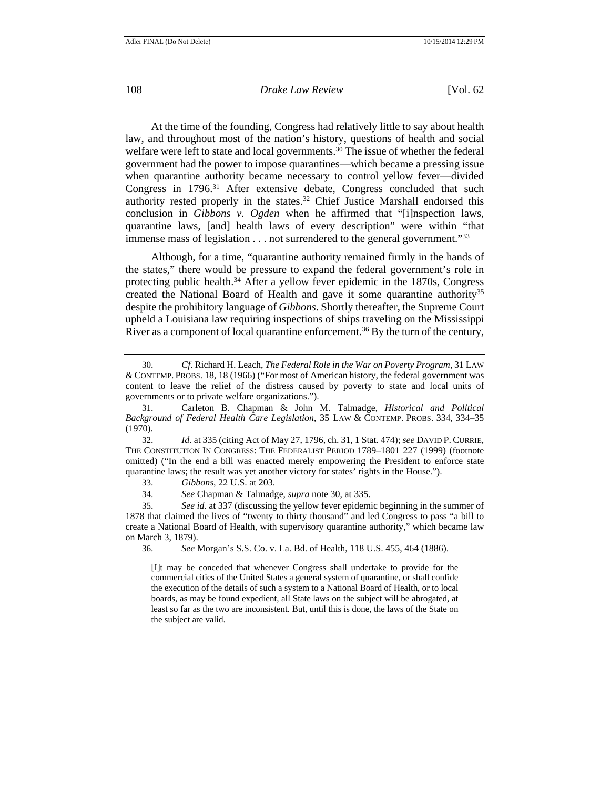At the time of the founding, Congress had relatively little to say about health law, and throughout most of the nation's history, questions of health and social welfare were left to state and local governments.<sup>30</sup> The issue of whether the federal government had the power to impose quarantines—which became a pressing issue when quarantine authority became necessary to control yellow fever—divided Congress in 1796.31 After extensive debate, Congress concluded that such authority rested properly in the states.<sup>32</sup> Chief Justice Marshall endorsed this conclusion in *Gibbons v. Ogden* when he affirmed that "[i]nspection laws, quarantine laws, [and] health laws of every description" were within "that immense mass of legislation . . . not surrendered to the general government."33

Although, for a time, "quarantine authority remained firmly in the hands of the states," there would be pressure to expand the federal government's role in protecting public health.34 After a yellow fever epidemic in the 1870s, Congress created the National Board of Health and gave it some quarantine authority<sup>35</sup> despite the prohibitory language of *Gibbons*. Shortly thereafter, the Supreme Court upheld a Louisiana law requiring inspections of ships traveling on the Mississippi River as a component of local quarantine enforcement.<sup>36</sup> By the turn of the century,

36. *See* Morgan's S.S. Co. v. La. Bd. of Health, 118 U.S. 455, 464 (1886).

[I]t may be conceded that whenever Congress shall undertake to provide for the commercial cities of the United States a general system of quarantine, or shall confide the execution of the details of such a system to a National Board of Health, or to local boards, as may be found expedient, all State laws on the subject will be abrogated, at least so far as the two are inconsistent. But, until this is done, the laws of the State on the subject are valid.

<sup>30.</sup> *Cf.* Richard H. Leach, *The Federal Role in the War on Poverty Program*, 31 LAW & CONTEMP. PROBS. 18, 18 (1966) ("For most of American history, the federal government was content to leave the relief of the distress caused by poverty to state and local units of governments or to private welfare organizations.").

<sup>31.</sup> Carleton B. Chapman & John M. Talmadge, *Historical and Political Background of Federal Health Care Legislation*, 35 LAW & CONTEMP. PROBS. 334, 334–35 (1970).

<sup>32.</sup> *Id.* at 335 (citing Act of May 27, 1796, ch. 31, 1 Stat. 474); *see* DAVID P. CURRIE, THE CONSTITUTION IN CONGRESS: THE FEDERALIST PERIOD 1789–1801 227 (1999) (footnote omitted) ("In the end a bill was enacted merely empowering the President to enforce state quarantine laws; the result was yet another victory for states' rights in the House.").

<sup>33.</sup> *Gibbons*, 22 U.S. at 203.

<sup>34.</sup> *See* Chapman & Talmadge, *supra* note 30, at 335.

<sup>35.</sup> *See id.* at 337 (discussing the yellow fever epidemic beginning in the summer of 1878 that claimed the lives of "twenty to thirty thousand" and led Congress to pass "a bill to create a National Board of Health, with supervisory quarantine authority," which became law on March 3, 1879).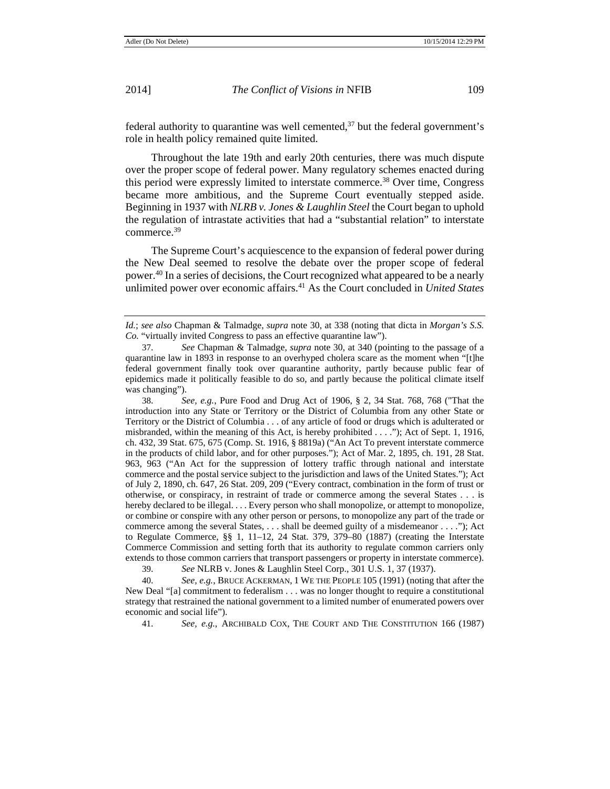federal authority to quarantine was well cemented, $37$  but the federal government's role in health policy remained quite limited.

Throughout the late 19th and early 20th centuries, there was much dispute over the proper scope of federal power. Many regulatory schemes enacted during this period were expressly limited to interstate commerce.38 Over time, Congress became more ambitious, and the Supreme Court eventually stepped aside. Beginning in 1937 with *NLRB v. Jones & Laughlin Steel* the Court began to uphold the regulation of intrastate activities that had a "substantial relation" to interstate commerce.39

The Supreme Court's acquiescence to the expansion of federal power during the New Deal seemed to resolve the debate over the proper scope of federal power.40 In a series of decisions, the Court recognized what appeared to be a nearly unlimited power over economic affairs.41 As the Court concluded in *United States* 

38. *See, e.g.*, Pure Food and Drug Act of 1906, § 2, 34 Stat. 768, 768 ("That the introduction into any State or Territory or the District of Columbia from any other State or Territory or the District of Columbia . . . of any article of food or drugs which is adulterated or misbranded, within the meaning of this Act, is hereby prohibited . . . ."); Act of Sept. 1, 1916, ch. 432, 39 Stat. 675, 675 (Comp. St. 1916, § 8819a) ("An Act To prevent interstate commerce in the products of child labor, and for other purposes."); Act of Mar. 2, 1895, ch. 191, 28 Stat. 963, 963 ("An Act for the suppression of lottery traffic through national and interstate commerce and the postal service subject to the jurisdiction and laws of the United States."); Act of July 2, 1890, ch. 647, 26 Stat. 209, 209 ("Every contract, combination in the form of trust or otherwise, or conspiracy, in restraint of trade or commerce among the several States . . . is hereby declared to be illegal. . . . Every person who shall monopolize, or attempt to monopolize, or combine or conspire with any other person or persons, to monopolize any part of the trade or commerce among the several States, . . . shall be deemed guilty of a misdemeanor . . . ."); Act to Regulate Commerce, §§ 1, 11–12, 24 Stat. 379, 379–80 (1887) (creating the Interstate Commerce Commission and setting forth that its authority to regulate common carriers only extends to those common carriers that transport passengers or property in interstate commerce).

39. *See* NLRB v. Jones & Laughlin Steel Corp., 301 U.S. 1, 37 (1937).

40. *See, e.g.*, BRUCE ACKERMAN, 1 WE THE PEOPLE 105 (1991) (noting that after the New Deal "[a] commitment to federalism . . . was no longer thought to require a constitutional strategy that restrained the national government to a limited number of enumerated powers over economic and social life").

41. *See, e.g.*, ARCHIBALD COX, THE COURT AND THE CONSTITUTION 166 (1987)

*Id.*; *see also* Chapman & Talmadge, *supra* note 30, at 338 (noting that dicta in *Morgan's S.S. Co.* "virtually invited Congress to pass an effective quarantine law").

<sup>37.</sup> *See* Chapman & Talmadge, *supra* note 30, at 340 (pointing to the passage of a quarantine law in 1893 in response to an overhyped cholera scare as the moment when "[t]he federal government finally took over quarantine authority, partly because public fear of epidemics made it politically feasible to do so, and partly because the political climate itself was changing").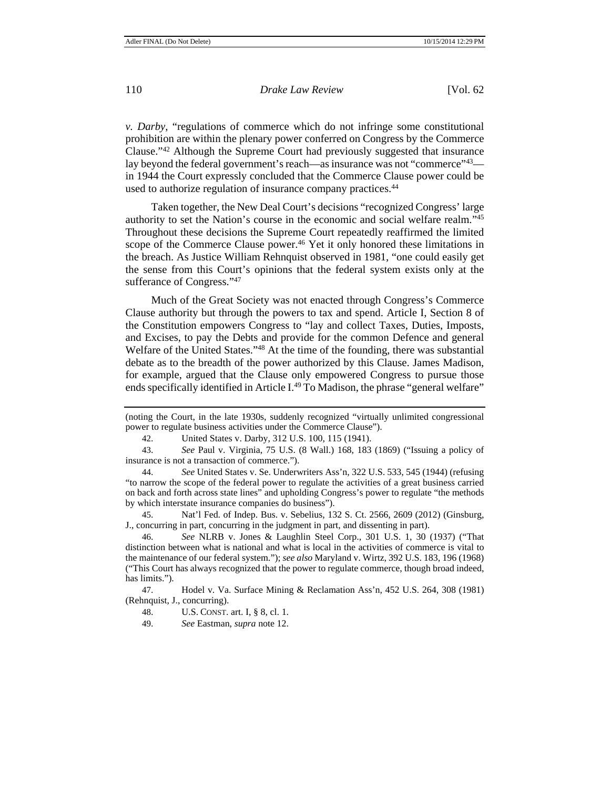*v. Darby*, "regulations of commerce which do not infringe some constitutional prohibition are within the plenary power conferred on Congress by the Commerce Clause."42 Although the Supreme Court had previously suggested that insurance lay beyond the federal government's reach—as insurance was not "commerce"<sup>43</sup> in 1944 the Court expressly concluded that the Commerce Clause power could be used to authorize regulation of insurance company practices.44

Taken together, the New Deal Court's decisions "recognized Congress' large authority to set the Nation's course in the economic and social welfare realm."45 Throughout these decisions the Supreme Court repeatedly reaffirmed the limited scope of the Commerce Clause power.<sup>46</sup> Yet it only honored these limitations in the breach. As Justice William Rehnquist observed in 1981, "one could easily get the sense from this Court's opinions that the federal system exists only at the sufferance of Congress."47

Much of the Great Society was not enacted through Congress's Commerce Clause authority but through the powers to tax and spend. Article I, Section 8 of the Constitution empowers Congress to "lay and collect Taxes, Duties, Imposts, and Excises, to pay the Debts and provide for the common Defence and general Welfare of the United States."48 At the time of the founding, there was substantial debate as to the breadth of the power authorized by this Clause. James Madison, for example, argued that the Clause only empowered Congress to pursue those ends specifically identified in Article I.<sup>49</sup> To Madison, the phrase "general welfare"

43. *See* Paul v. Virginia, 75 U.S. (8 Wall.) 168, 183 (1869) ("Issuing a policy of insurance is not a transaction of commerce.").

44. *See* United States v. Se. Underwriters Ass'n, 322 U.S. 533, 545 (1944) (refusing "to narrow the scope of the federal power to regulate the activities of a great business carried on back and forth across state lines" and upholding Congress's power to regulate "the methods by which interstate insurance companies do business").

45. Nat'l Fed. of Indep. Bus. v. Sebelius, 132 S. Ct. 2566, 2609 (2012) (Ginsburg, J., concurring in part, concurring in the judgment in part, and dissenting in part).

46. *See* NLRB v. Jones & Laughlin Steel Corp., 301 U.S. 1, 30 (1937) ("That distinction between what is national and what is local in the activities of commerce is vital to the maintenance of our federal system."); *see also* Maryland v. Wirtz, 392 U.S. 183, 196 (1968) ("This Court has always recognized that the power to regulate commerce, though broad indeed, has limits.").

47. Hodel v. Va. Surface Mining & Reclamation Ass'n, 452 U.S. 264, 308 (1981) (Rehnquist, J., concurring).

<sup>(</sup>noting the Court, in the late 1930s, suddenly recognized "virtually unlimited congressional power to regulate business activities under the Commerce Clause").

<sup>42.</sup> United States v. Darby, 312 U.S. 100, 115 (1941).

<sup>48.</sup> U.S. CONST. art. I, § 8, cl. 1.

<sup>49.</sup> *See* Eastman, *supra* note 12.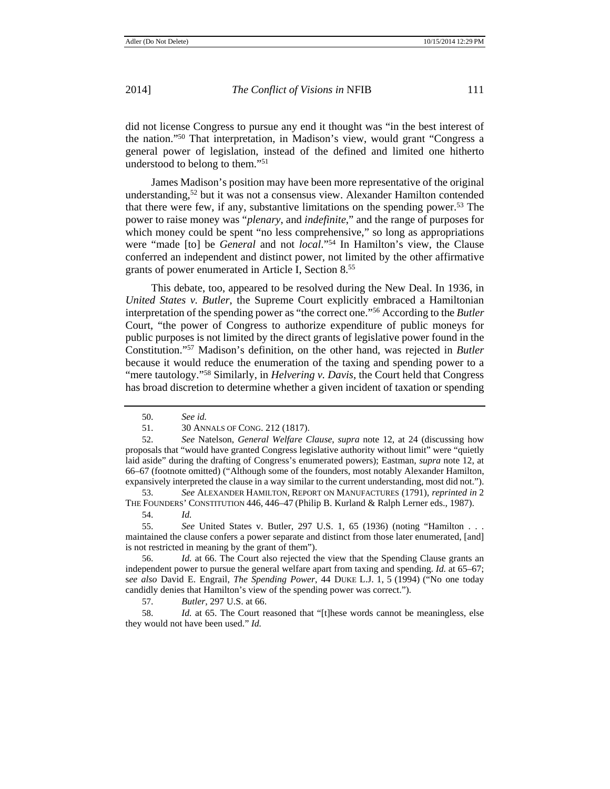did not license Congress to pursue any end it thought was "in the best interest of the nation."50 That interpretation, in Madison's view, would grant "Congress a general power of legislation, instead of the defined and limited one hitherto understood to belong to them."51

James Madison's position may have been more representative of the original understanding,<sup>52</sup> but it was not a consensus view. Alexander Hamilton contended that there were few, if any, substantive limitations on the spending power.53 The power to raise money was "*plenary*, and *indefinite*," and the range of purposes for which money could be spent "no less comprehensive," so long as appropriations were "made [to] be *General* and not *local*."54 In Hamilton's view, the Clause conferred an independent and distinct power, not limited by the other affirmative grants of power enumerated in Article I, Section 8.55

This debate, too, appeared to be resolved during the New Deal. In 1936, in *United States v. Butler*, the Supreme Court explicitly embraced a Hamiltonian interpretation of the spending power as "the correct one."56 According to the *Butler*  Court, "the power of Congress to authorize expenditure of public moneys for public purposes is not limited by the direct grants of legislative power found in the Constitution."57 Madison's definition, on the other hand, was rejected in *Butler* because it would reduce the enumeration of the taxing and spending power to a "mere tautology."<sup>58</sup> Similarly, in *Helvering v. Davis*, the Court held that Congress has broad discretion to determine whether a given incident of taxation or spending

52. *See* Natelson, *General Welfare Clause*, *supra* note 12, at 24 (discussing how proposals that "would have granted Congress legislative authority without limit" were "quietly laid aside" during the drafting of Congress's enumerated powers); Eastman, *supra* note 12, at 66–67 (footnote omitted) ("Although some of the founders, most notably Alexander Hamilton, expansively interpreted the clause in a way similar to the current understanding, most did not.").

53. *See* ALEXANDER HAMILTON, REPORT ON MANUFACTURES (1791), *reprinted in* 2 THE FOUNDERS' CONSTITUTION 446, 446–47 (Philip B. Kurland & Ralph Lerner eds., 1987).

54. *Id.*

55. *See* United States v. Butler, 297 U.S. 1, 65 (1936) (noting "Hamilton . . . maintained the clause confers a power separate and distinct from those later enumerated, [and] is not restricted in meaning by the grant of them").

56. *Id.* at 66. The Court also rejected the view that the Spending Clause grants an independent power to pursue the general welfare apart from taxing and spending. *Id.* at 65–67; s*ee also* David E. Engrail, *The Spending Power*, 44 DUKE L.J. 1, 5 (1994) ("No one today candidly denies that Hamilton's view of the spending power was correct.").

57. *Butler*, 297 U.S. at 66.

58. *Id.* at 65. The Court reasoned that "[t]hese words cannot be meaningless, else they would not have been used." *Id.*

<sup>50.</sup> *See id.*

<sup>51. 30</sup> ANNALS OF CONG. 212 (1817).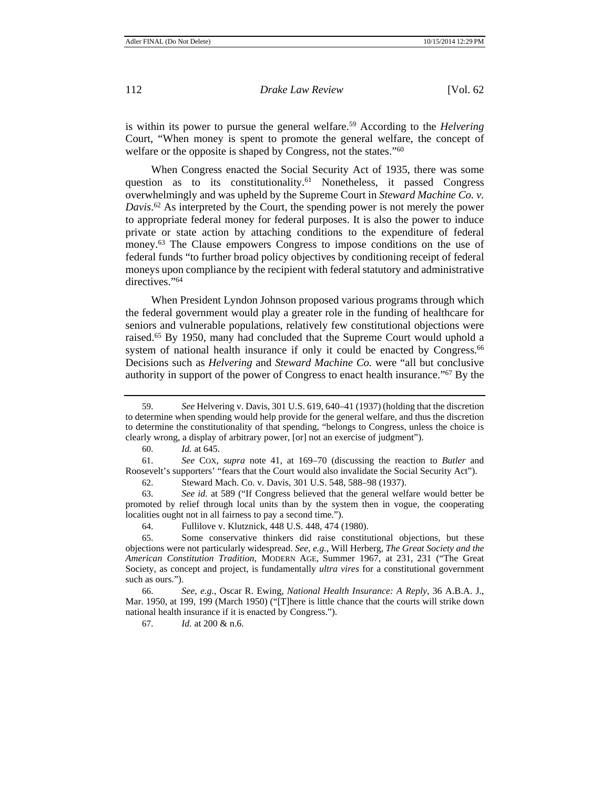is within its power to pursue the general welfare.59 According to the *Helvering*  Court, "When money is spent to promote the general welfare, the concept of welfare or the opposite is shaped by Congress, not the states."<sup>60</sup>

When Congress enacted the Social Security Act of 1935, there was some question as to its constitutionality.<sup>61</sup> Nonetheless, it passed Congress overwhelmingly and was upheld by the Supreme Court in *Steward Machine Co. v. Davis*. 62 As interpreted by the Court, the spending power is not merely the power to appropriate federal money for federal purposes. It is also the power to induce private or state action by attaching conditions to the expenditure of federal money.63 The Clause empowers Congress to impose conditions on the use of federal funds "to further broad policy objectives by conditioning receipt of federal moneys upon compliance by the recipient with federal statutory and administrative directives."<sup>64</sup>

When President Lyndon Johnson proposed various programs through which the federal government would play a greater role in the funding of healthcare for seniors and vulnerable populations, relatively few constitutional objections were raised.65 By 1950, many had concluded that the Supreme Court would uphold a system of national health insurance if only it could be enacted by Congress.<sup>66</sup> Decisions such as *Helvering* and *Steward Machine Co.* were "all but conclusive authority in support of the power of Congress to enact health insurance."67 By the

60. *Id.* at 645.

67. *Id.* at 200 & n.6.

<sup>59.</sup> *See* Helvering v. Davis, 301 U.S. 619, 640–41 (1937) (holding that the discretion to determine when spending would help provide for the general welfare, and thus the discretion to determine the constitutionality of that spending, "belongs to Congress, unless the choice is clearly wrong, a display of arbitrary power, [or] not an exercise of judgment").

<sup>61.</sup> *See* COX, *supra* note 41, at 169–70 (discussing the reaction to *Butler* and Roosevelt's supporters' "fears that the Court would also invalidate the Social Security Act").

<sup>62.</sup> Steward Mach. Co. v. Davis, 301 U.S. 548, 588–98 (1937).

<sup>63.</sup> *See id.* at 589 ("If Congress believed that the general welfare would better be promoted by relief through local units than by the system then in vogue, the cooperating localities ought not in all fairness to pay a second time.").

<sup>64.</sup> Fullilove v. Klutznick, 448 U.S. 448, 474 (1980).

<sup>65.</sup> Some conservative thinkers did raise constitutional objections, but these objections were not particularly widespread. *See, e.g.*, Will Herberg, *The Great Society and the American Constitution Tradition*, MODERN AGE, Summer 1967, at 231, 231 ("The Great Society, as concept and project, is fundamentally *ultra vires* for a constitutional government such as ours.").

<sup>66.</sup> *See, e.g.*, Oscar R. Ewing, *National Health Insurance: A Reply*, 36 A.B.A. J., Mar. 1950, at 199, 199 (March 1950) ("[T]here is little chance that the courts will strike down national health insurance if it is enacted by Congress.").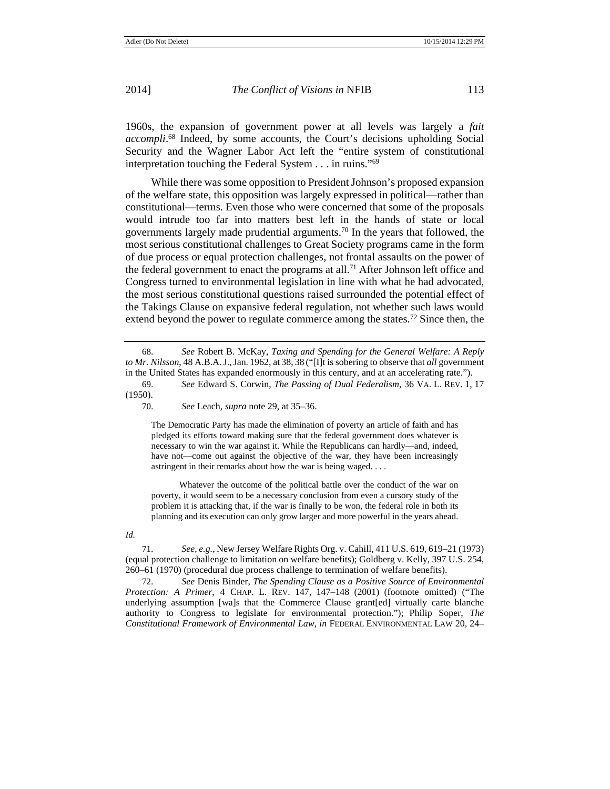1960s, the expansion of government power at all levels was largely a *fait accompli*. 68 Indeed, by some accounts, the Court's decisions upholding Social Security and the Wagner Labor Act left the "entire system of constitutional interpretation touching the Federal System . . . in ruins."69

While there was some opposition to President Johnson's proposed expansion of the welfare state, this opposition was largely expressed in political—rather than constitutional—terms. Even those who were concerned that some of the proposals would intrude too far into matters best left in the hands of state or local governments largely made prudential arguments.70 In the years that followed, the most serious constitutional challenges to Great Society programs came in the form of due process or equal protection challenges, not frontal assaults on the power of the federal government to enact the programs at all.<sup>71</sup> After Johnson left office and Congress turned to environmental legislation in line with what he had advocated, the most serious constitutional questions raised surrounded the potential effect of the Takings Clause on expansive federal regulation, not whether such laws would extend beyond the power to regulate commerce among the states.<sup>72</sup> Since then, the

(1950).

70. *See* Leach, *supra* note 29, at 35–36.

The Democratic Party has made the elimination of poverty an article of faith and has pledged its efforts toward making sure that the federal government does whatever is necessary to win the war against it. While the Republicans can hardly—and, indeed, have not—come out against the objective of the war, they have been increasingly astringent in their remarks about how the war is being waged. . . .

Whatever the outcome of the political battle over the conduct of the war on poverty, it would seem to be a necessary conclusion from even a cursory study of the problem it is attacking that, if the war is finally to be won, the federal role in both its planning and its execution can only grow larger and more powerful in the years ahead.

*Id.* 

71. *See, e.g.*, New Jersey Welfare Rights Org. v. Cahill, 411 U.S. 619, 619–21 (1973) (equal protection challenge to limitation on welfare benefits); Goldberg v. Kelly, 397 U.S. 254, 260–61 (1970) (procedural due process challenge to termination of welfare benefits).

72. *See* Denis Binder, *The Spending Clause as a Positive Source of Environmental Protection: A Primer*, 4 CHAP. L. REV. 147, 147–148 (2001) (footnote omitted) ("The underlying assumption [wa]s that the Commerce Clause grant[ed] virtually carte blanche authority to Congress to legislate for environmental protection."); Philip Soper, *The Constitutional Framework of Environmental Law*, *in* FEDERAL ENVIRONMENTAL LAW 20, 24–

<sup>68.</sup> *See* Robert B. McKay, *Taxing and Spending for the General Welfare: A Reply to Mr. Nilsson*, 48 A.B.A.J.,Jan. 1962, at 38, 38 ("[I]t is sobering to observe that *all* government in the United States has expanded enormously in this century, and at an accelerating rate."). 69. *See* Edward S. Corwin, *The Passing of Dual Federalism*, 36 VA. L. REV. 1, 17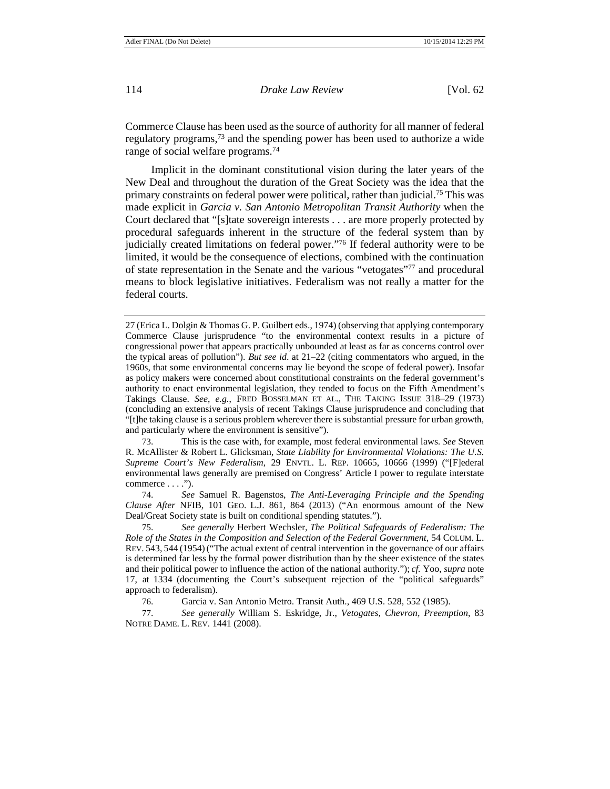Commerce Clause has been used as the source of authority for all manner of federal regulatory programs,73 and the spending power has been used to authorize a wide range of social welfare programs.<sup>74</sup>

Implicit in the dominant constitutional vision during the later years of the New Deal and throughout the duration of the Great Society was the idea that the primary constraints on federal power were political, rather than judicial.75 This was made explicit in *Garcia v. San Antonio Metropolitan Transit Authority* when the Court declared that "[s]tate sovereign interests . . . are more properly protected by procedural safeguards inherent in the structure of the federal system than by judicially created limitations on federal power."76 If federal authority were to be limited, it would be the consequence of elections, combined with the continuation of state representation in the Senate and the various "vetogates"77 and procedural means to block legislative initiatives. Federalism was not really a matter for the federal courts.

73. This is the case with, for example, most federal environmental laws. *See* Steven R. McAllister & Robert L. Glicksman, *State Liability for Environmental Violations: The U.S. Supreme Court's New Federalism*, 29 ENVTL. L. REP. 10665, 10666 (1999) ("[F]ederal environmental laws generally are premised on Congress' Article I power to regulate interstate commerce . . . .").

74. *See* Samuel R. Bagenstos, *The Anti-Leveraging Principle and the Spending Clause After* NFIB*,* 101 GEO. L.J. 861, 864 (2013) ("An enormous amount of the New Deal/Great Society state is built on conditional spending statutes.").

75. *See generally* Herbert Wechsler, *The Political Safeguards of Federalism: The Role of the States in the Composition and Selection of the Federal Government*, 54 COLUM. L. REV. 543, 544 (1954) ("The actual extent of central intervention in the governance of our affairs is determined far less by the formal power distribution than by the sheer existence of the states and their political power to influence the action of the national authority."); *cf.* Yoo, *supra* note 17, at 1334 (documenting the Court's subsequent rejection of the "political safeguards" approach to federalism).

76. Garcia v. San Antonio Metro. Transit Auth., 469 U.S. 528, 552 (1985).

77. *See generally* William S. Eskridge, Jr., *Vetogates, Chevron, Preemption*, 83 NOTRE DAME. L. REV. 1441 (2008).

<sup>27 (</sup>Erica L. Dolgin & Thomas G. P. Guilbert eds., 1974) (observing that applying contemporary Commerce Clause jurisprudence "to the environmental context results in a picture of congressional power that appears practically unbounded at least as far as concerns control over the typical areas of pollution"). *But see id*. at 21–22 (citing commentators who argued, in the 1960s, that some environmental concerns may lie beyond the scope of federal power). Insofar as policy makers were concerned about constitutional constraints on the federal government's authority to enact environmental legislation, they tended to focus on the Fifth Amendment's Takings Clause. *See*, *e.g.*, FRED BOSSELMAN ET AL., THE TAKING ISSUE 318–29 (1973) (concluding an extensive analysis of recent Takings Clause jurisprudence and concluding that "[t]he taking clause is a serious problem wherever there is substantial pressure for urban growth, and particularly where the environment is sensitive").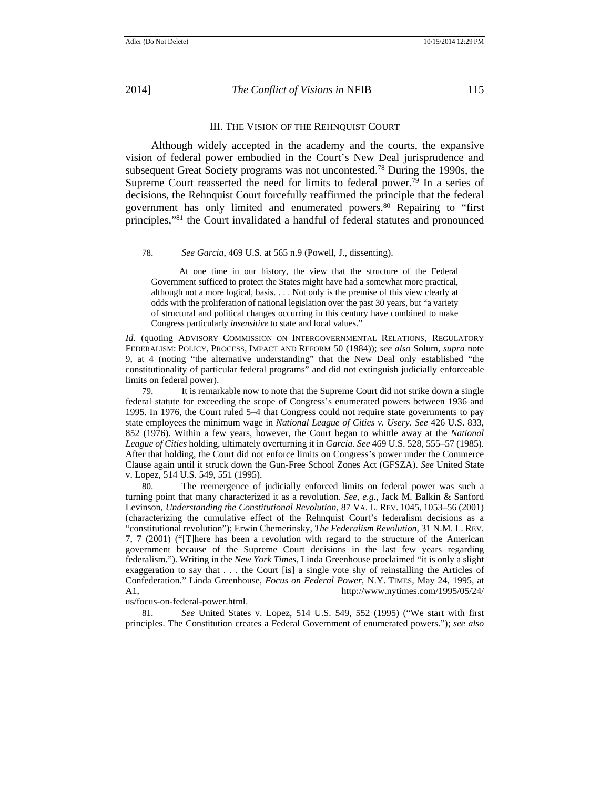# III. THE VISION OF THE REHNQUIST COURT

Although widely accepted in the academy and the courts, the expansive vision of federal power embodied in the Court's New Deal jurisprudence and subsequent Great Society programs was not uncontested.78 During the 1990s, the Supreme Court reasserted the need for limits to federal power.<sup>79</sup> In a series of decisions, the Rehnquist Court forcefully reaffirmed the principle that the federal government has only limited and enumerated powers.80 Repairing to "first principles,"81 the Court invalidated a handful of federal statutes and pronounced

At one time in our history, the view that the structure of the Federal Government sufficed to protect the States might have had a somewhat more practical, although not a more logical, basis. . . . Not only is the premise of this view clearly at odds with the proliferation of national legislation over the past 30 years, but "a variety of structural and political changes occurring in this century have combined to make Congress particularly *insensitive* to state and local values."

Id. (quoting ADVISORY COMMISSION ON INTERGOVERNMENTAL RELATIONS, REGULATORY FEDERALISM: POLICY, PROCESS, IMPACT AND REFORM 50 (1984)); *see also* Solum, *supra* note 9, at 4 (noting "the alternative understanding" that the New Deal only established "the constitutionality of particular federal programs" and did not extinguish judicially enforceable limits on federal power).

79. It is remarkable now to note that the Supreme Court did not strike down a single federal statute for exceeding the scope of Congress's enumerated powers between 1936 and 1995. In 1976, the Court ruled 5–4 that Congress could not require state governments to pay state employees the minimum wage in *National League of Cities v. Usery*. *See* 426 U.S. 833, 852 (1976). Within a few years, however, the Court began to whittle away at the *National League of Cities* holding, ultimately overturning it in *Garcia. See* 469 U.S. 528, 555–57 (1985). After that holding, the Court did not enforce limits on Congress's power under the Commerce Clause again until it struck down the Gun-Free School Zones Act (GFSZA). *See* United State v. Lopez, 514 U.S. 549, 551 (1995).

80. The reemergence of judicially enforced limits on federal power was such a turning point that many characterized it as a revolution. *See, e.g.*, Jack M. Balkin & Sanford Levinson, *Understanding the Constitutional Revolution*, 87 VA. L. REV. 1045, 1053–56 (2001) (characterizing the cumulative effect of the Rehnquist Court's federalism decisions as a "constitutional revolution"); Erwin Chemerinsky, *The Federalism Revolution*, 31 N.M. L. REV. 7, 7 (2001) ("[T]here has been a revolution with regard to the structure of the American government because of the Supreme Court decisions in the last few years regarding federalism."). Writing in the *New York Times*, Linda Greenhouse proclaimed "it is only a slight exaggeration to say that . . . the Court [is] a single vote shy of reinstalling the Articles of Confederation." Linda Greenhouse, *Focus on Federal Power*, N.Y. TIMES, May 24, 1995, at A1, http://www.nytimes.com/1995/05/24/

us/focus-on-federal-power.html.

81. *See* United States v. Lopez, 514 U.S. 549, 552 (1995) ("We start with first principles. The Constitution creates a Federal Government of enumerated powers."); *see also* 

<sup>78.</sup> *See Garcia*, 469 U.S. at 565 n.9 (Powell, J., dissenting).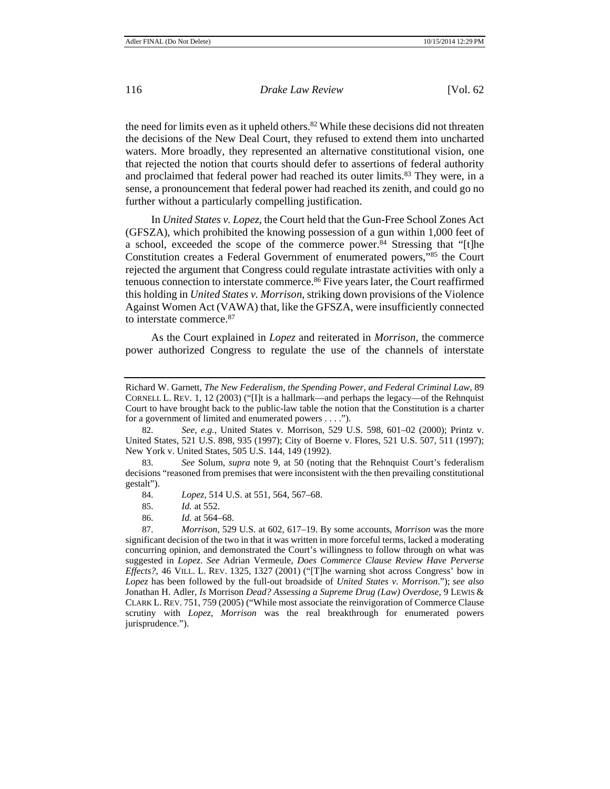the need for limits even as it upheld others.<sup>82</sup> While these decisions did not threaten the decisions of the New Deal Court, they refused to extend them into uncharted waters. More broadly, they represented an alternative constitutional vision, one that rejected the notion that courts should defer to assertions of federal authority and proclaimed that federal power had reached its outer limits.<sup>83</sup> They were, in a sense, a pronouncement that federal power had reached its zenith, and could go no further without a particularly compelling justification.

In *United States v. Lopez*, the Court held that the Gun-Free School Zones Act (GFSZA), which prohibited the knowing possession of a gun within 1,000 feet of a school, exceeded the scope of the commerce power.<sup>84</sup> Stressing that "[t]he Constitution creates a Federal Government of enumerated powers,"85 the Court rejected the argument that Congress could regulate intrastate activities with only a tenuous connection to interstate commerce.86 Five years later, the Court reaffirmed this holding in *United States v. Morrison*, striking down provisions of the Violence Against Women Act (VAWA) that, like the GFSZA, were insufficiently connected to interstate commerce.87

As the Court explained in *Lopez* and reiterated in *Morrison*, the commerce power authorized Congress to regulate the use of the channels of interstate

83. *See* Solum, *supra* note 9, at 50 (noting that the Rehnquist Court's federalism decisions "reasoned from premises that were inconsistent with the then prevailing constitutional gestalt").

Richard W. Garnett, *The New Federalism, the Spending Power, and Federal Criminal Law*, 89 CORNELL L. REV. 1, 12 (2003) ("[I]t is a hallmark—and perhaps the legacy—of the Rehnquist Court to have brought back to the public-law table the notion that the Constitution is a charter for a government of limited and enumerated powers . . . .").

<sup>82.</sup> *See, e.g.*, United States v. Morrison, 529 U.S. 598, 601–02 (2000); Printz v. United States, 521 U.S. 898, 935 (1997); City of Boerne v. Flores, 521 U.S. 507, 511 (1997); New York v. United States, 505 U.S. 144, 149 (1992).

<sup>84.</sup> *Lopez*, 514 U.S. at 551, 564, 567–68.

<sup>85.</sup> *Id.* at 552.

<sup>86.</sup> *Id.* at 564–68.

<sup>87.</sup> *Morrison*, 529 U.S. at 602, 617–19. By some accounts, *Morrison* was the more significant decision of the two in that it was written in more forceful terms, lacked a moderating concurring opinion, and demonstrated the Court's willingness to follow through on what was suggested in *Lopez*. *See* Adrian Vermeule, *Does Commerce Clause Review Have Perverse Effects?*, 46 VILL. L. REV. 1325, 1327 (2001) ("[T]he warning shot across Congress' bow in *Lopez* has been followed by the full-out broadside of *United States v. Morrison*."); *see also*  Jonathan H. Adler, *Is* Morrison *Dead? Assessing a Supreme Drug (Law) Overdose*, 9 LEWIS & CLARK L. REV. 751, 759 (2005) ("While most associate the reinvigoration of Commerce Clause scrutiny with *Lopez*, *Morrison* was the real breakthrough for enumerated powers jurisprudence.").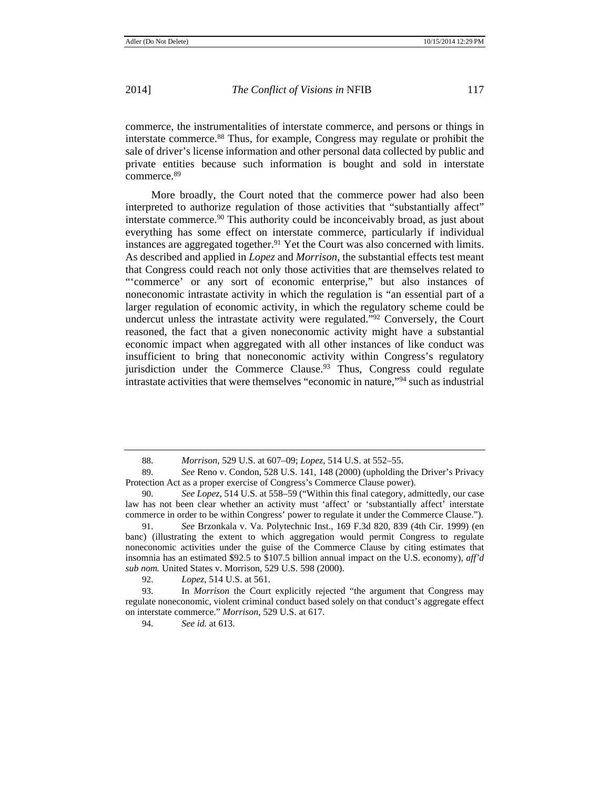commerce, the instrumentalities of interstate commerce, and persons or things in interstate commerce.88 Thus, for example, Congress may regulate or prohibit the sale of driver's license information and other personal data collected by public and private entities because such information is bought and sold in interstate commerce.89

More broadly, the Court noted that the commerce power had also been interpreted to authorize regulation of those activities that "substantially affect" interstate commerce.90 This authority could be inconceivably broad, as just about everything has some effect on interstate commerce, particularly if individual instances are aggregated together.<sup>91</sup> Yet the Court was also concerned with limits. As described and applied in *Lopez* and *Morrison*, the substantial effects test meant that Congress could reach not only those activities that are themselves related to "'commerce' or any sort of economic enterprise," but also instances of noneconomic intrastate activity in which the regulation is "an essential part of a larger regulation of economic activity, in which the regulatory scheme could be undercut unless the intrastate activity were regulated."92 Conversely, the Court reasoned, the fact that a given noneconomic activity might have a substantial economic impact when aggregated with all other instances of like conduct was insufficient to bring that noneconomic activity within Congress's regulatory jurisdiction under the Commerce Clause.<sup>93</sup> Thus, Congress could regulate intrastate activities that were themselves "economic in nature,"94 such as industrial

92. *Lopez*, 514 U.S. at 561.

93. In *Morrison* the Court explicitly rejected "the argument that Congress may regulate noneconomic, violent criminal conduct based solely on that conduct's aggregate effect on interstate commerce." *Morrison*, 529 U.S. at 617.

94. *See id.* at 613.

<sup>88.</sup> *Morrison*, 529 U.S. at 607–09; *Lopez*, 514 U.S. at 552–55.

<sup>89.</sup> *See* Reno v. Condon, 528 U.S. 141, 148 (2000) (upholding the Driver's Privacy Protection Act as a proper exercise of Congress's Commerce Clause power).

<sup>90.</sup> *See Lopez*, 514 U.S. at 558–59 ("Within this final category, admittedly, our case law has not been clear whether an activity must 'affect' or 'substantially affect' interstate commerce in order to be within Congress' power to regulate it under the Commerce Clause.").

<sup>91.</sup> *See* Brzonkala v. Va. Polytechnic Inst., 169 F.3d 820, 839 (4th Cir. 1999) (en banc) (illustrating the extent to which aggregation would permit Congress to regulate noneconomic activities under the guise of the Commerce Clause by citing estimates that insomnia has an estimated \$92.5 to \$107.5 billion annual impact on the U.S. economy), *aff'd sub nom.* United States v. Morrison, 529 U.S. 598 (2000).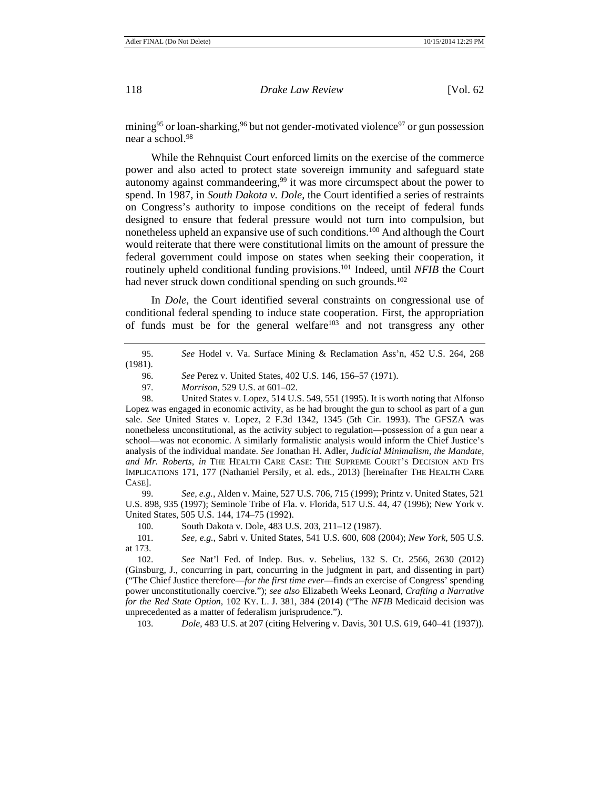mining<sup>95</sup> or loan-sharking,  $96$  but not gender-motivated violence<sup>97</sup> or gun possession near a school.98

While the Rehnquist Court enforced limits on the exercise of the commerce power and also acted to protect state sovereign immunity and safeguard state autonomy against commandeering,<sup>99</sup> it was more circumspect about the power to spend. In 1987, in *South Dakota v. Dole*, the Court identified a series of restraints on Congress's authority to impose conditions on the receipt of federal funds designed to ensure that federal pressure would not turn into compulsion, but nonetheless upheld an expansive use of such conditions.<sup>100</sup> And although the Court would reiterate that there were constitutional limits on the amount of pressure the federal government could impose on states when seeking their cooperation, it routinely upheld conditional funding provisions.101 Indeed, until *NFIB* the Court had never struck down conditional spending on such grounds.<sup>102</sup>

In *Dole*, the Court identified several constraints on congressional use of conditional federal spending to induce state cooperation. First, the appropriation of funds must be for the general welfare103 and not transgress any other

| (1981). |  |  |  |
|---------|--|--|--|
|         |  |  |  |

96. *See* Perez v. United States, 402 U.S. 146, 156–57 (1971).

98. United States v. Lopez, 514 U.S. 549, 551 (1995). It is worth noting that Alfonso Lopez was engaged in economic activity, as he had brought the gun to school as part of a gun sale. *See* United States v. Lopez, 2 F.3d 1342, 1345 (5th Cir. 1993). The GFSZA was nonetheless unconstitutional, as the activity subject to regulation—possession of a gun near a school—was not economic. A similarly formalistic analysis would inform the Chief Justice's analysis of the individual mandate. *See* Jonathan H. Adler, *Judicial Minimalism, the Mandate, and Mr. Roberts*, *in* THE HEALTH CARE CASE: THE SUPREME COURT'S DECISION AND ITS IMPLICATIONS 171, 177 (Nathaniel Persily, et al. eds., 2013) [hereinafter THE HEALTH CARE CASE].

99. *See, e.g.*, Alden v. Maine, 527 U.S. 706, 715 (1999); Printz v. United States, 521 U.S. 898, 935 (1997); Seminole Tribe of Fla. v. Florida, 517 U.S. 44, 47 (1996); New York v. United States, 505 U.S. 144, 174–75 (1992).

100. South Dakota v. Dole, 483 U.S. 203, 211–12 (1987).

101. *See, e.g.*, Sabri v. United States, 541 U.S. 600, 608 (2004); *New York*, 505 U.S. at 173.

102. *See* Nat'l Fed. of Indep. Bus. v. Sebelius, 132 S. Ct. 2566, 2630 (2012) (Ginsburg, J., concurring in part, concurring in the judgment in part, and dissenting in part) ("The Chief Justice therefore—*for the first time ever*—finds an exercise of Congress' spending power unconstitutionally coercive."); *see also* Elizabeth Weeks Leonard, *Crafting a Narrative for the Red State Option*, 102 KY. L. J. 381, 384 (2014) ("The *NFIB* Medicaid decision was unprecedented as a matter of federalism jurisprudence.").

103. *Dole*, 483 U.S. at 207 (citing Helvering v. Davis, 301 U.S. 619, 640–41 (1937)).

<sup>97.</sup> *Morrison*, 529 U.S. at 601–02.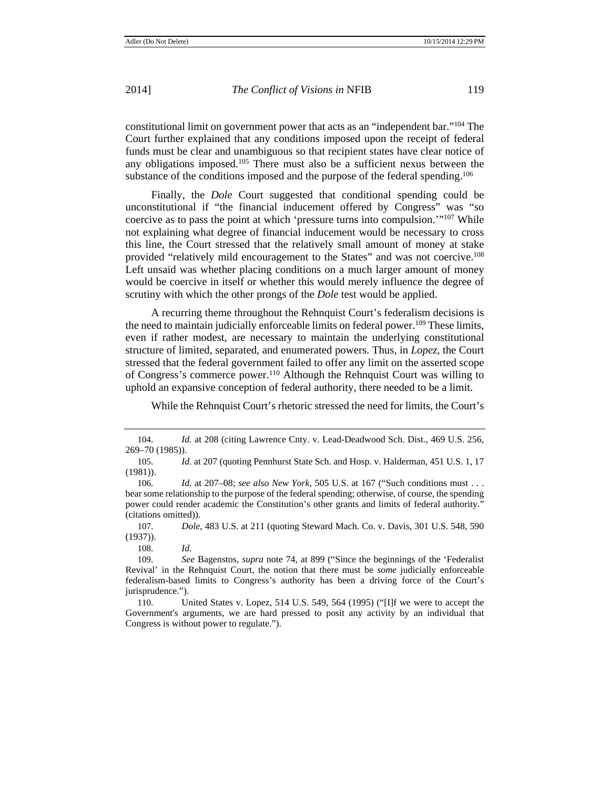constitutional limit on government power that acts as an "independent bar."104 The Court further explained that any conditions imposed upon the receipt of federal funds must be clear and unambiguous so that recipient states have clear notice of any obligations imposed.105 There must also be a sufficient nexus between the substance of the conditions imposed and the purpose of the federal spending.<sup>106</sup>

Finally, the *Dole* Court suggested that conditional spending could be unconstitutional if "the financial inducement offered by Congress" was "so coercive as to pass the point at which 'pressure turns into compulsion.'"107 While not explaining what degree of financial inducement would be necessary to cross this line, the Court stressed that the relatively small amount of money at stake provided "relatively mild encouragement to the States" and was not coercive.<sup>108</sup> Left unsaid was whether placing conditions on a much larger amount of money would be coercive in itself or whether this would merely influence the degree of scrutiny with which the other prongs of the *Dole* test would be applied.

A recurring theme throughout the Rehnquist Court's federalism decisions is the need to maintain judicially enforceable limits on federal power.<sup>109</sup> These limits, even if rather modest, are necessary to maintain the underlying constitutional structure of limited, separated, and enumerated powers. Thus, in *Lopez*, the Court stressed that the federal government failed to offer any limit on the asserted scope of Congress's commerce power.110 Although the Rehnquist Court was willing to uphold an expansive conception of federal authority, there needed to be a limit.

While the Rehnquist Court's rhetoric stressed the need for limits, the Court's

107. *Dole*, 483 U.S. at 211 (quoting Steward Mach. Co. v. Davis, 301 U.S. 548, 590 (1937)).

108. *Id.*

<sup>104.</sup> *Id.* at 208 (citing Lawrence Cnty. v. Lead-Deadwood Sch. Dist., 469 U.S. 256, 269–70 (1985)).

<sup>105.</sup> *Id.* at 207 (quoting Pennhurst State Sch. and Hosp. v. Halderman, 451 U.S. 1, 17 (1981)).

<sup>106.</sup> *Id.* at 207–08; *see also New York*, 505 U.S. at 167 ("Such conditions must . . . bear some relationship to the purpose of the federal spending; otherwise, of course, the spending power could render academic the Constitution's other grants and limits of federal authority." (citations omitted)).

<sup>109.</sup> *See* Bagenstos, *supra* note 74, at 899 ("Since the beginnings of the 'Federalist Revival' in the Rehnquist Court, the notion that there must be *some* judicially enforceable federalism-based limits to Congress's authority has been a driving force of the Court's jurisprudence.").

<sup>110.</sup> United States v. Lopez, 514 U.S. 549, 564 (1995) ("[I]f we were to accept the Government's arguments, we are hard pressed to posit any activity by an individual that Congress is without power to regulate.").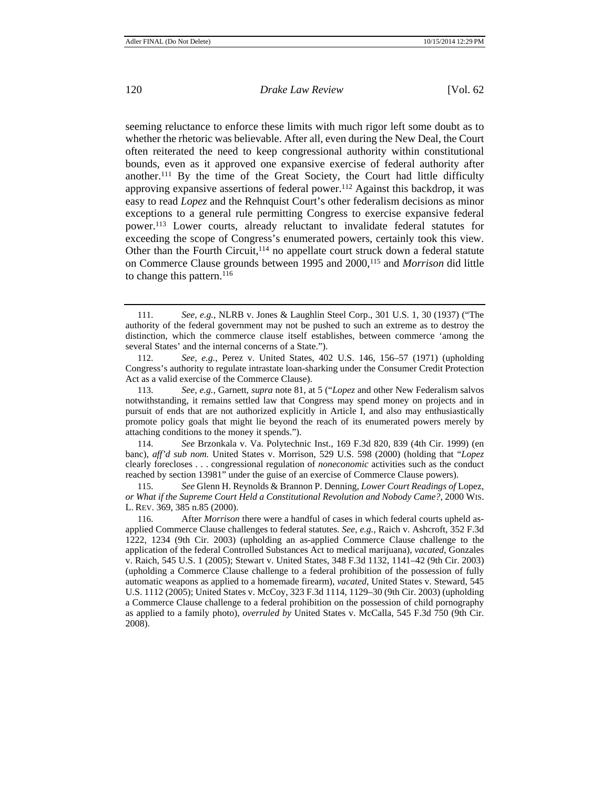seeming reluctance to enforce these limits with much rigor left some doubt as to whether the rhetoric was believable. After all, even during the New Deal, the Court often reiterated the need to keep congressional authority within constitutional bounds, even as it approved one expansive exercise of federal authority after another.111 By the time of the Great Society, the Court had little difficulty approving expansive assertions of federal power.<sup>112</sup> Against this backdrop, it was easy to read *Lopez* and the Rehnquist Court's other federalism decisions as minor exceptions to a general rule permitting Congress to exercise expansive federal power.113 Lower courts, already reluctant to invalidate federal statutes for exceeding the scope of Congress's enumerated powers, certainly took this view. Other than the Fourth Circuit,  $114$  no appellate court struck down a federal statute on Commerce Clause grounds between 1995 and 2000,115 and *Morrison* did little to change this pattern.<sup>116</sup>

114. *See* Brzonkala v. Va. Polytechnic Inst., 169 F.3d 820, 839 (4th Cir. 1999) (en banc), *aff'd sub nom.* United States v. Morrison, 529 U.S. 598 (2000) (holding that "*Lopez* clearly forecloses . . . congressional regulation of *noneconomic* activities such as the conduct reached by section 13981" under the guise of an exercise of Commerce Clause powers).

115. *See* Glenn H. Reynolds & Brannon P. Denning, *Lower Court Readings of* Lopez*, or What if the Supreme Court Held a Constitutional Revolution and Nobody Came?*, 2000 WIS. L. REV. 369, 385 n.85 (2000).

<sup>111.</sup> *See, e.g.*, NLRB v. Jones & Laughlin Steel Corp., 301 U.S. 1, 30 (1937) ("The authority of the federal government may not be pushed to such an extreme as to destroy the distinction, which the commerce clause itself establishes, between commerce 'among the several States' and the internal concerns of a State.").

<sup>112.</sup> *See, e.g.*, Perez v. United States, 402 U.S. 146, 156–57 (1971) (upholding Congress's authority to regulate intrastate loan-sharking under the Consumer Credit Protection Act as a valid exercise of the Commerce Clause).

<sup>113.</sup> *See, e.g.*, Garnett, *supra* note 81, at 5 ("*Lopez* and other New Federalism salvos notwithstanding, it remains settled law that Congress may spend money on projects and in pursuit of ends that are not authorized explicitly in Article I, and also may enthusiastically promote policy goals that might lie beyond the reach of its enumerated powers merely by attaching conditions to the money it spends.").

<sup>116.</sup> After *Morrison* there were a handful of cases in which federal courts upheld asapplied Commerce Clause challenges to federal statutes. *See, e.g.*, Raich v. Ashcroft*,* 352 F.3d 1222, 1234 (9th Cir. 2003) (upholding an as-applied Commerce Clause challenge to the application of the federal Controlled Substances Act to medical marijuana), *vacated*, Gonzales v. Raich, 545 U.S. 1 (2005); Stewart v. United States, 348 F.3d 1132, 1141–42 (9th Cir. 2003) (upholding a Commerce Clause challenge to a federal prohibition of the possession of fully automatic weapons as applied to a homemade firearm), *vacated*, United States v. Steward, 545 U.S. 1112 (2005); United States v. McCoy, 323 F.3d 1114, 1129–30 (9th Cir. 2003) (upholding a Commerce Clause challenge to a federal prohibition on the possession of child pornography as applied to a family photo), *overruled by* United States v. McCalla, 545 F.3d 750 (9th Cir. 2008).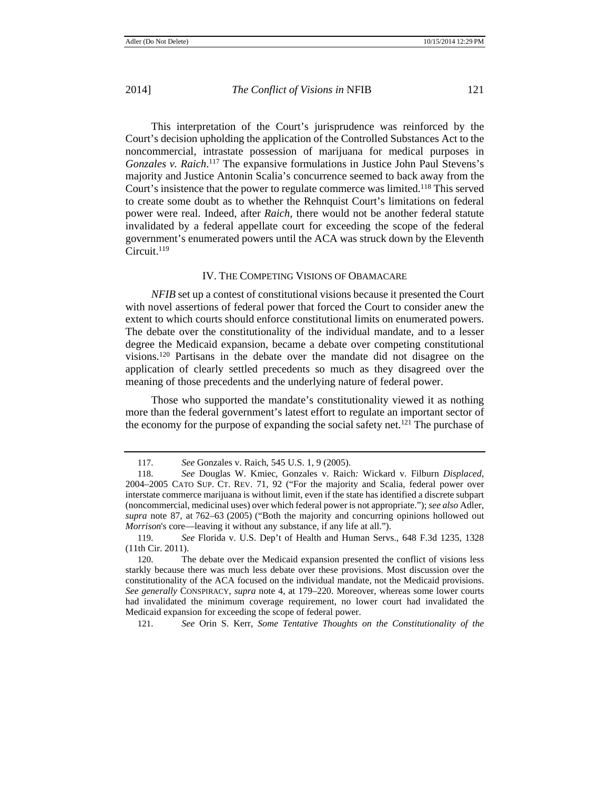This interpretation of the Court's jurisprudence was reinforced by the Court's decision upholding the application of the Controlled Substances Act to the noncommercial, intrastate possession of marijuana for medical purposes in Gonzales v. Raich.<sup>117</sup> The expansive formulations in Justice John Paul Stevens's majority and Justice Antonin Scalia's concurrence seemed to back away from the Court's insistence that the power to regulate commerce was limited.118 This served to create some doubt as to whether the Rehnquist Court's limitations on federal power were real. Indeed, after *Raich*, there would not be another federal statute invalidated by a federal appellate court for exceeding the scope of the federal government's enumerated powers until the ACA was struck down by the Eleventh Circuit.<sup>119</sup>

#### IV. THE COMPETING VISIONS OF OBAMACARE

*NFIB* set up a contest of constitutional visions because it presented the Court with novel assertions of federal power that forced the Court to consider anew the extent to which courts should enforce constitutional limits on enumerated powers. The debate over the constitutionality of the individual mandate, and to a lesser degree the Medicaid expansion, became a debate over competing constitutional visions.120 Partisans in the debate over the mandate did not disagree on the application of clearly settled precedents so much as they disagreed over the meaning of those precedents and the underlying nature of federal power.

Those who supported the mandate's constitutionality viewed it as nothing more than the federal government's latest effort to regulate an important sector of the economy for the purpose of expanding the social safety net.<sup>121</sup> The purchase of

121. *See* Orin S. Kerr, *Some Tentative Thoughts on the Constitutionality of the*

<sup>117.</sup> *See* Gonzales v. Raich, 545 U.S. 1, 9 (2005).

<sup>118.</sup> *See* Douglas W. Kmiec, Gonzales v. Raich*:* Wickard v. Filburn *Displaced*, 2004–2005 CATO SUP. CT. REV. 71, 92 ("For the majority and Scalia, federal power over interstate commerce marijuana is without limit, even if the state has identified a discrete subpart (noncommercial, medicinal uses) over which federal power is not appropriate."); *see also* Adler, *supra* note 87, at 762–63 (2005) ("Both the majority and concurring opinions hollowed out *Morrison*'s core—leaving it without any substance, if any life at all.").

<sup>119.</sup> *See* Florida v. U.S. Dep't of Health and Human Servs., 648 F.3d 1235, 1328 (11th Cir. 2011).

<sup>120.</sup> The debate over the Medicaid expansion presented the conflict of visions less starkly because there was much less debate over these provisions. Most discussion over the constitutionality of the ACA focused on the individual mandate, not the Medicaid provisions. *See generally* CONSPIRACY, *supra* note 4, at 179–220. Moreover, whereas some lower courts had invalidated the minimum coverage requirement, no lower court had invalidated the Medicaid expansion for exceeding the scope of federal power.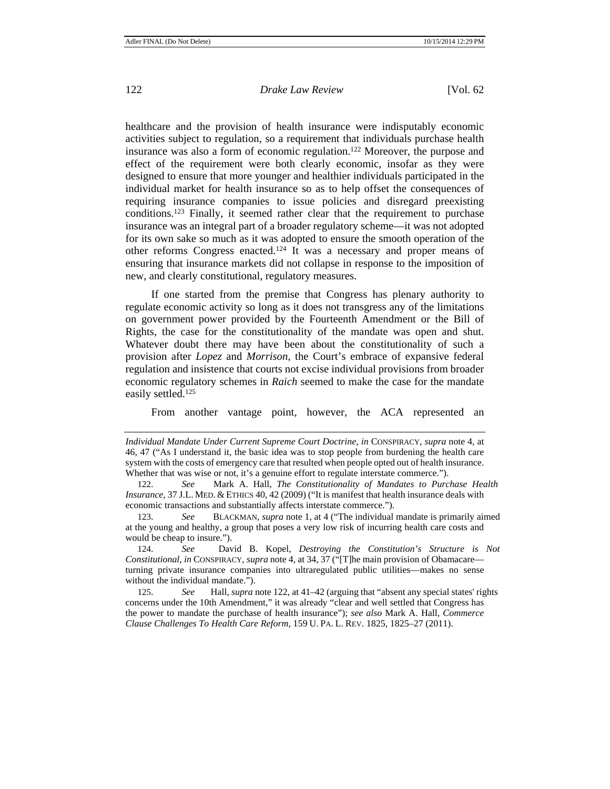healthcare and the provision of health insurance were indisputably economic activities subject to regulation, so a requirement that individuals purchase health insurance was also a form of economic regulation.122 Moreover, the purpose and effect of the requirement were both clearly economic, insofar as they were designed to ensure that more younger and healthier individuals participated in the individual market for health insurance so as to help offset the consequences of requiring insurance companies to issue policies and disregard preexisting conditions.123 Finally, it seemed rather clear that the requirement to purchase insurance was an integral part of a broader regulatory scheme—it was not adopted for its own sake so much as it was adopted to ensure the smooth operation of the other reforms Congress enacted.124 It was a necessary and proper means of ensuring that insurance markets did not collapse in response to the imposition of new, and clearly constitutional, regulatory measures.

If one started from the premise that Congress has plenary authority to regulate economic activity so long as it does not transgress any of the limitations on government power provided by the Fourteenth Amendment or the Bill of Rights, the case for the constitutionality of the mandate was open and shut. Whatever doubt there may have been about the constitutionality of such a provision after *Lopez* and *Morrison*, the Court's embrace of expansive federal regulation and insistence that courts not excise individual provisions from broader economic regulatory schemes in *Raich* seemed to make the case for the mandate easily settled.<sup>125</sup>

From another vantage point, however, the ACA represented an

124. *See* David B. Kopel, *Destroying the Constitution's Structure is Not Constitutional*, *in* CONSPIRACY, *supra* note 4, at 34, 37 ("[T]he main provision of Obamacare turning private insurance companies into ultraregulated public utilities—makes no sense without the individual mandate.").

125. *See* Hall, *supra* note 122, at 41–42 (arguing that "absent any special states' rights concerns under the 10th Amendment," it was already "clear and well settled that Congress has the power to mandate the purchase of health insurance"); *see also* Mark A. Hall, *Commerce Clause Challenges To Health Care Reform*, 159 U. PA. L. REV. 1825, 1825–27 (2011).

*Individual Mandate Under Current Supreme Court Doctrine*, *in* CONSPIRACY, *supra* note 4, at 46, 47 ("As I understand it, the basic idea was to stop people from burdening the health care system with the costs of emergency care that resulted when people opted out of health insurance. Whether that was wise or not, it's a genuine effort to regulate interstate commerce.").

<sup>122</sup>. *See* Mark A. Hall, *The Constitutionality of Mandates to Purchase Health Insurance*, 37 J.L. MED. & ETHICS 40, 42 (2009) ("It is manifest that health insurance deals with economic transactions and substantially affects interstate commerce.").

<sup>123</sup>. *See* BLACKMAN, *supra* note 1, at 4 ("The individual mandate is primarily aimed at the young and healthy, a group that poses a very low risk of incurring health care costs and would be cheap to insure.").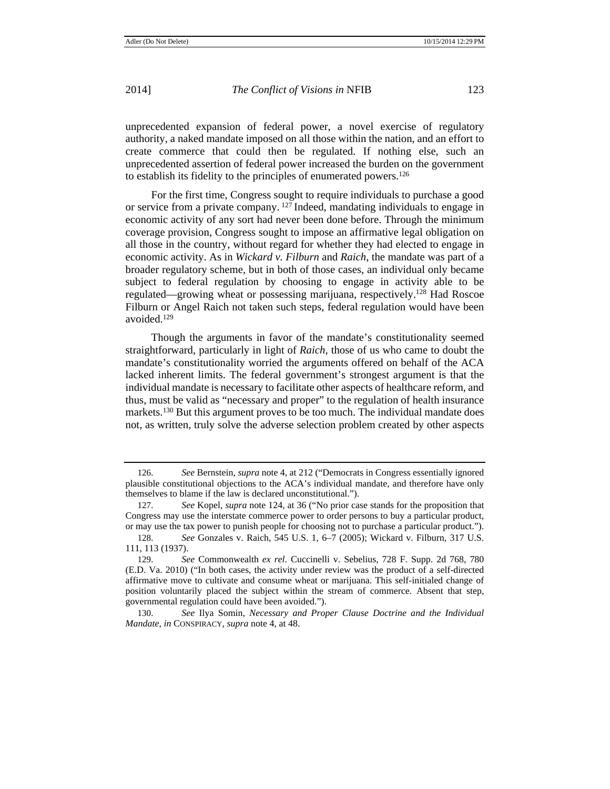unprecedented expansion of federal power, a novel exercise of regulatory authority, a naked mandate imposed on all those within the nation, and an effort to create commerce that could then be regulated. If nothing else, such an unprecedented assertion of federal power increased the burden on the government to establish its fidelity to the principles of enumerated powers.126

For the first time, Congress sought to require individuals to purchase a good or service from a private company.  $127$  Indeed, mandating individuals to engage in economic activity of any sort had never been done before. Through the minimum coverage provision, Congress sought to impose an affirmative legal obligation on all those in the country, without regard for whether they had elected to engage in economic activity. As in *Wickard v. Filburn* and *Raich*, the mandate was part of a broader regulatory scheme, but in both of those cases, an individual only became subject to federal regulation by choosing to engage in activity able to be regulated—growing wheat or possessing marijuana, respectively.128 Had Roscoe Filburn or Angel Raich not taken such steps, federal regulation would have been avoided.129

Though the arguments in favor of the mandate's constitutionality seemed straightforward, particularly in light of *Raich*, those of us who came to doubt the mandate's constitutionality worried the arguments offered on behalf of the ACA lacked inherent limits. The federal government's strongest argument is that the individual mandate is necessary to facilitate other aspects of healthcare reform, and thus, must be valid as "necessary and proper" to the regulation of health insurance markets.<sup>130</sup> But this argument proves to be too much. The individual mandate does not, as written, truly solve the adverse selection problem created by other aspects

<sup>126.</sup> *See* Bernstein, *supra* note 4, at 212 ("Democrats in Congress essentially ignored plausible constitutional objections to the ACA's individual mandate, and therefore have only themselves to blame if the law is declared unconstitutional.").

<sup>127.</sup> *See* Kopel, *supra* note 124, at 36 ("No prior case stands for the proposition that Congress may use the interstate commerce power to order persons to buy a particular product, or may use the tax power to punish people for choosing not to purchase a particular product.").

<sup>128.</sup> *See* Gonzales v. Raich, 545 U.S. 1, 6–7 (2005); Wickard v. Filburn, 317 U.S. 111, 113 (1937).

<sup>129.</sup> *See* Commonwealth *ex rel*. Cuccinelli v. Sebelius, 728 F. Supp. 2d 768, 780 (E.D. Va. 2010) ("In both cases, the activity under review was the product of a self-directed affirmative move to cultivate and consume wheat or marijuana. This self-initialed change of position voluntarily placed the subject within the stream of commerce. Absent that step, governmental regulation could have been avoided.").

<sup>130.</sup> *See* Ilya Somin, *Necessary and Proper Clause Doctrine and the Individual Mandate*, *in* CONSPIRACY, *supra* note 4, at 48.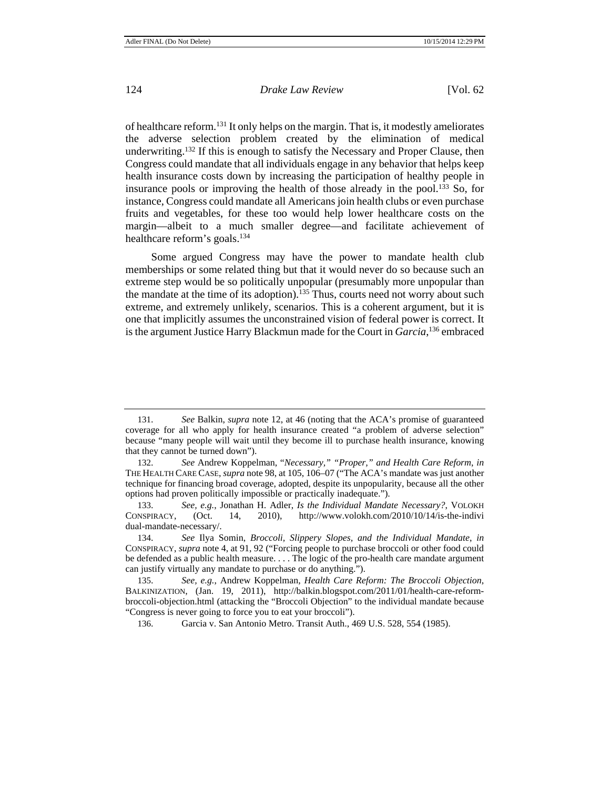of healthcare reform.131 It only helps on the margin. That is, it modestly ameliorates the adverse selection problem created by the elimination of medical underwriting.132 If this is enough to satisfy the Necessary and Proper Clause, then Congress could mandate that all individuals engage in any behavior that helps keep health insurance costs down by increasing the participation of healthy people in insurance pools or improving the health of those already in the pool.<sup>133</sup> So, for instance, Congress could mandate all Americans join health clubs or even purchase fruits and vegetables, for these too would help lower healthcare costs on the margin—albeit to a much smaller degree—and facilitate achievement of healthcare reform's goals.134

Some argued Congress may have the power to mandate health club memberships or some related thing but that it would never do so because such an extreme step would be so politically unpopular (presumably more unpopular than the mandate at the time of its adoption).<sup>135</sup> Thus, courts need not worry about such extreme, and extremely unlikely, scenarios. This is a coherent argument, but it is one that implicitly assumes the unconstrained vision of federal power is correct. It is the argument Justice Harry Blackmun made for the Court in *Garcia*, 136 embraced

<sup>131.</sup> *See* Balkin, *supra* note 12, at 46 (noting that the ACA's promise of guaranteed coverage for all who apply for health insurance created "a problem of adverse selection" because "many people will wait until they become ill to purchase health insurance, knowing that they cannot be turned down").

<sup>132.</sup> *See* Andrew Koppelman, "*Necessary," "Proper," and Health Care Reform*, *in* THE HEALTH CARE CASE, *supra* note 98, at 105, 106–07 ("The ACA's mandate was just another technique for financing broad coverage, adopted, despite its unpopularity, because all the other options had proven politically impossible or practically inadequate.").

<sup>133.</sup> *See, e.g.*, Jonathan H. Adler, *Is the Individual Mandate Necessary?*, VOLOKH CONSPIRACY, (Oct. 14, 2010), http://www.volokh.com/2010/10/14/is-the-indivi dual-mandate-necessary/.

<sup>134.</sup> *See* Ilya Somin, *Broccoli, Slippery Slopes, and the Individual Mandate*, *in* CONSPIRACY, *supra* note 4, at 91, 92 ("Forcing people to purchase broccoli or other food could be defended as a public health measure. . . . The logic of the pro-health care mandate argument can justify virtually any mandate to purchase or do anything.").

<sup>135.</sup> *See, e.g.*, Andrew Koppelman, *Health Care Reform: The Broccoli Objection*, BALKINIZATION, (Jan. 19, 2011), http://balkin.blogspot.com/2011/01/health-care-reformbroccoli-objection.html (attacking the "Broccoli Objection" to the individual mandate because "Congress is never going to force you to eat your broccoli").

<sup>136.</sup> Garcia v. San Antonio Metro. Transit Auth., 469 U.S. 528, 554 (1985).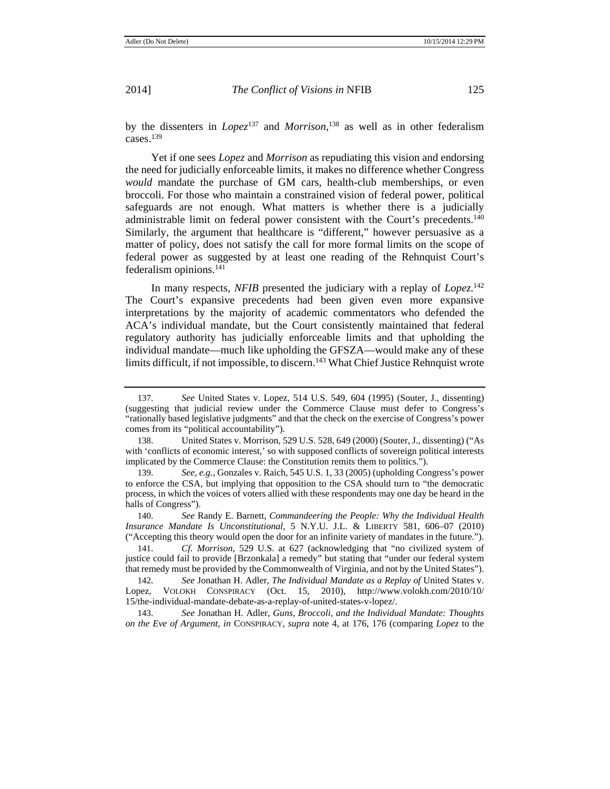by the dissenters in *Lopez*137 and *Morrison*, 138 as well as in other federalism cases.139

Yet if one sees *Lopez* and *Morrison* as repudiating this vision and endorsing the need for judicially enforceable limits, it makes no difference whether Congress *would* mandate the purchase of GM cars, health-club memberships, or even broccoli. For those who maintain a constrained vision of federal power, political safeguards are not enough. What matters is whether there is a judicially administrable limit on federal power consistent with the Court's precedents.140 Similarly, the argument that healthcare is "different," however persuasive as a matter of policy, does not satisfy the call for more formal limits on the scope of federal power as suggested by at least one reading of the Rehnquist Court's federalism opinions.141

In many respects, *NFIB* presented the judiciary with a replay of *Lopez*. 142 The Court's expansive precedents had been given even more expansive interpretations by the majority of academic commentators who defended the ACA's individual mandate, but the Court consistently maintained that federal regulatory authority has judicially enforceable limits and that upholding the individual mandate—much like upholding the GFSZA—would make any of these limits difficult, if not impossible, to discern.<sup>143</sup> What Chief Justice Rehnquist wrote

<sup>137.</sup> *See* United States v. Lopez, 514 U.S. 549, 604 (1995) (Souter, J., dissenting) (suggesting that judicial review under the Commerce Clause must defer to Congress's "rationally based legislative judgments" and that the check on the exercise of Congress's power comes from its "political accountability").

<sup>138.</sup> United States v. Morrison, 529 U.S. 528, 649 (2000) (Souter, J., dissenting) ("As with 'conflicts of economic interest,' so with supposed conflicts of sovereign political interests implicated by the Commerce Clause: the Constitution remits them to politics.").

<sup>139.</sup> *See, e.g.*, Gonzales v. Raich, 545 U.S. 1, 33 (2005) (upholding Congress's power to enforce the CSA, but implying that opposition to the CSA should turn to "the democratic process, in which the voices of voters allied with these respondents may one day be heard in the halls of Congress").

<sup>140.</sup> *See* Randy E. Barnett, *Commandeering the People: Why the Individual Health Insurance Mandate Is Unconstitutional,* 5 N.Y.U. J.L. & LIBERTY 581, 606–07 (2010) ("Accepting this theory would open the door for an infinite variety of mandates in the future.").

<sup>141.</sup> *Cf. Morrison*, 529 U.S. at 627 (acknowledging that "no civilized system of justice could fail to provide [Brzonkala] a remedy" but stating that "under our federal system that remedy must be provided by the Commonwealth of Virginia, and not by the United States").

<sup>142.</sup> *See* Jonathan H. Adler, *The Individual Mandate as a Replay of* United States v. Lopez, VOLOKH CONSPIRACY (Oct. 15, 2010), http://www.volokh.com/2010/10/ 15/the-individual-mandate-debate-as-a-replay-of-united-states-v-lopez/.

<sup>143.</sup> *See* Jonathan H. Adler, *Guns, Broccoli, and the Individual Mandate: Thoughts on the Eve of Argument*, *in* CONSPIRACY, *supra* note 4, at 176, 176 (comparing *Lopez* to the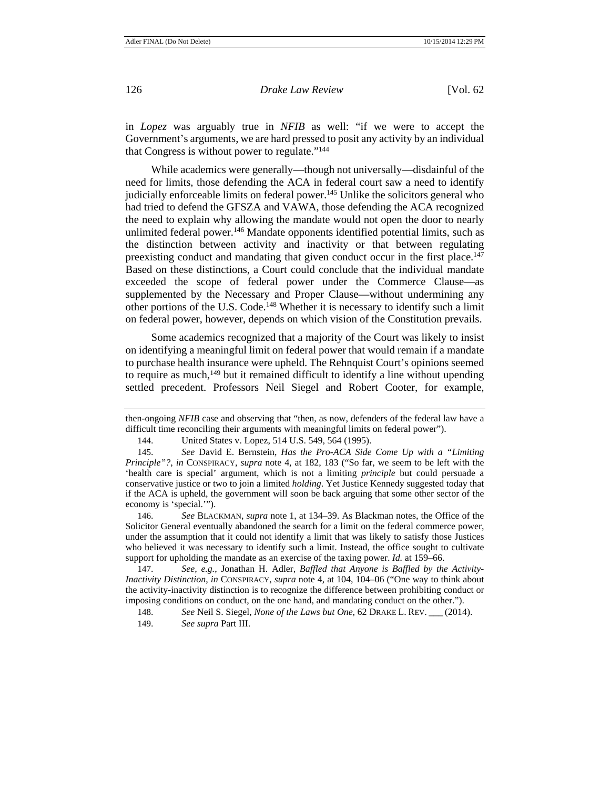in *Lopez* was arguably true in *NFIB* as well: "if we were to accept the Government's arguments, we are hard pressed to posit any activity by an individual that Congress is without power to regulate."144

While academics were generally—though not universally—disdainful of the need for limits, those defending the ACA in federal court saw a need to identify judicially enforceable limits on federal power.<sup>145</sup> Unlike the solicitors general who had tried to defend the GFSZA and VAWA, those defending the ACA recognized the need to explain why allowing the mandate would not open the door to nearly unlimited federal power.<sup>146</sup> Mandate opponents identified potential limits, such as the distinction between activity and inactivity or that between regulating preexisting conduct and mandating that given conduct occur in the first place.<sup>147</sup> Based on these distinctions, a Court could conclude that the individual mandate exceeded the scope of federal power under the Commerce Clause—as supplemented by the Necessary and Proper Clause—without undermining any other portions of the U.S. Code.148 Whether it is necessary to identify such a limit on federal power, however, depends on which vision of the Constitution prevails.

Some academics recognized that a majority of the Court was likely to insist on identifying a meaningful limit on federal power that would remain if a mandate to purchase health insurance were upheld. The Rehnquist Court's opinions seemed to require as much,<sup>149</sup> but it remained difficult to identify a line without upending settled precedent. Professors Neil Siegel and Robert Cooter, for example,

then-ongoing *NFIB* case and observing that "then, as now, defenders of the federal law have a difficult time reconciling their arguments with meaningful limits on federal power").

<sup>144.</sup> United States v. Lopez, 514 U.S. 549, 564 (1995).

<sup>145.</sup> *See* David E. Bernstein, *Has the Pro-ACA Side Come Up with a "Limiting Principle"?*, *in* CONSPIRACY, *supra* note 4, at 182, 183 ("So far, we seem to be left with the 'health care is special' argument, which is not a limiting *principle* but could persuade a conservative justice or two to join a limited *holding*. Yet Justice Kennedy suggested today that if the ACA is upheld, the government will soon be back arguing that some other sector of the economy is 'special.'").

<sup>146.</sup> *See* BLACKMAN, *supra* note 1, at 134–39. As Blackman notes, the Office of the Solicitor General eventually abandoned the search for a limit on the federal commerce power, under the assumption that it could not identify a limit that was likely to satisfy those Justices who believed it was necessary to identify such a limit. Instead, the office sought to cultivate support for upholding the mandate as an exercise of the taxing power. *Id.* at 159–66.

<sup>147.</sup> *See, e.g.*, Jonathan H. Adler, *Baffled that Anyone is Baffled by the Activity-Inactivity Distinction*, *in* CONSPIRACY, *supra* note 4, at 104, 104–06 ("One way to think about the activity-inactivity distinction is to recognize the difference between prohibiting conduct or imposing conditions on conduct, on the one hand, and mandating conduct on the other.").

<sup>148.</sup> *See* Neil S. Siegel, *None of the Laws but One*, 62 DRAKE L. REV. \_\_\_ (2014). 149. *See supra* Part III.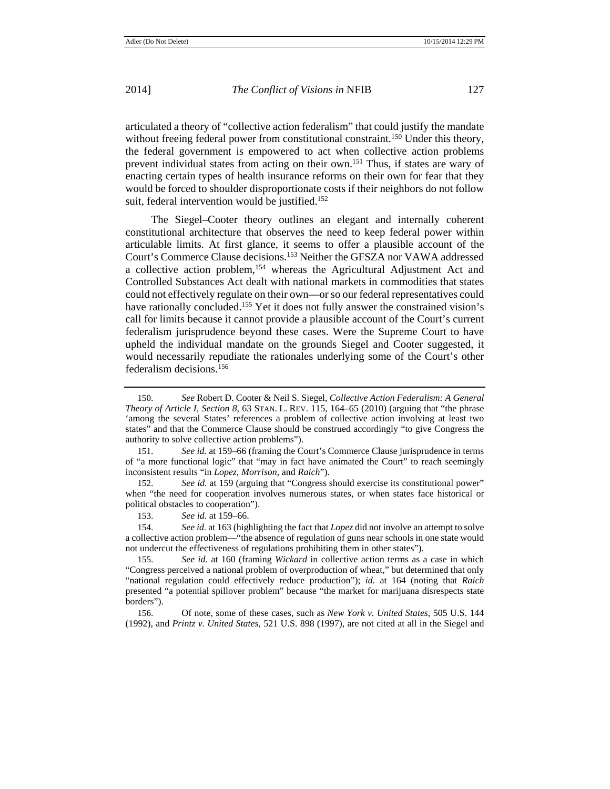articulated a theory of "collective action federalism" that could justify the mandate without freeing federal power from constitutional constraint.<sup>150</sup> Under this theory, the federal government is empowered to act when collective action problems prevent individual states from acting on their own.151 Thus, if states are wary of enacting certain types of health insurance reforms on their own for fear that they would be forced to shoulder disproportionate costs if their neighbors do not follow suit, federal intervention would be justified.<sup>152</sup>

The Siegel–Cooter theory outlines an elegant and internally coherent constitutional architecture that observes the need to keep federal power within articulable limits. At first glance, it seems to offer a plausible account of the Court's Commerce Clause decisions.153 Neither the GFSZA nor VAWA addressed a collective action problem,<sup>154</sup> whereas the Agricultural Adjustment Act and Controlled Substances Act dealt with national markets in commodities that states could not effectively regulate on their own—or so our federal representatives could have rationally concluded.155 Yet it does not fully answer the constrained vision's call for limits because it cannot provide a plausible account of the Court's current federalism jurisprudence beyond these cases. Were the Supreme Court to have upheld the individual mandate on the grounds Siegel and Cooter suggested, it would necessarily repudiate the rationales underlying some of the Court's other federalism decisions.156

<sup>150.</sup> *See* Robert D. Cooter & Neil S. Siegel, *Collective Action Federalism: A General Theory of Article I, Section 8,* 63 STAN. L. REV. 115, 164–65 (2010) (arguing that "the phrase 'among the several States' references a problem of collective action involving at least two states" and that the Commerce Clause should be construed accordingly "to give Congress the authority to solve collective action problems").

<sup>151.</sup> *See id.* at 159–66 (framing the Court's Commerce Clause jurisprudence in terms of "a more functional logic" that "may in fact have animated the Court" to reach seemingly inconsistent results "in *Lopez*, *Morrison*, and *Raich*").

<sup>152.</sup> *See id.* at 159 (arguing that "Congress should exercise its constitutional power" when "the need for cooperation involves numerous states, or when states face historical or political obstacles to cooperation").

<sup>153.</sup> *See id.* at 159–66.

<sup>154.</sup> *See id.* at 163 (highlighting the fact that *Lopez* did not involve an attempt to solve a collective action problem—"the absence of regulation of guns near schools in one state would not undercut the effectiveness of regulations prohibiting them in other states").

<sup>155.</sup> *See id.* at 160 (framing *Wickard* in collective action terms as a case in which "Congress perceived a national problem of overproduction of wheat," but determined that only "national regulation could effectively reduce production"); *id.* at 164 (noting that *Raich* presented "a potential spillover problem" because "the market for marijuana disrespects state borders").

<sup>156.</sup> Of note, some of these cases, such as *New York v. United States*, 505 U.S. 144 (1992), and *Printz v. United States*, 521 U.S. 898 (1997), are not cited at all in the Siegel and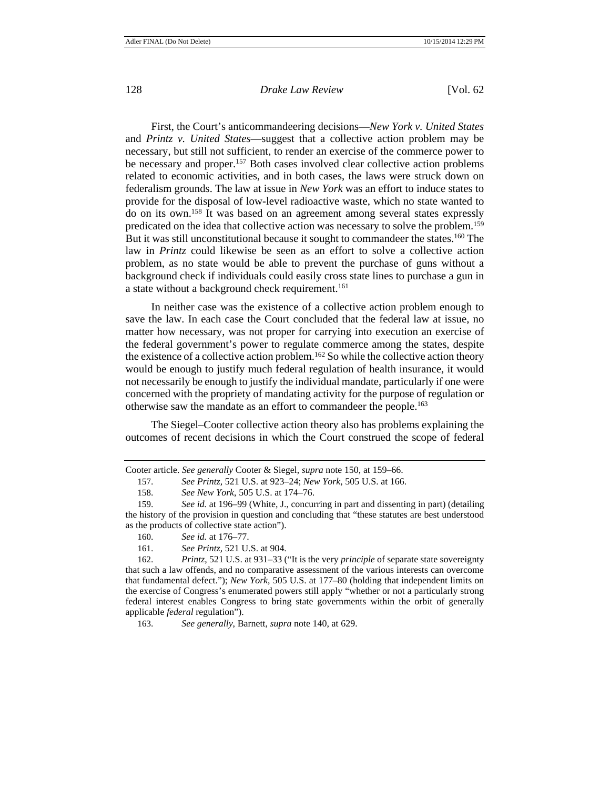First, the Court's anticommandeering decisions—*New York v. United States*  and *Printz v. United States*—suggest that a collective action problem may be necessary, but still not sufficient, to render an exercise of the commerce power to be necessary and proper.157 Both cases involved clear collective action problems related to economic activities, and in both cases, the laws were struck down on federalism grounds. The law at issue in *New York* was an effort to induce states to provide for the disposal of low-level radioactive waste, which no state wanted to do on its own.158 It was based on an agreement among several states expressly predicated on the idea that collective action was necessary to solve the problem.159 But it was still unconstitutional because it sought to commandeer the states.160 The law in *Printz* could likewise be seen as an effort to solve a collective action problem, as no state would be able to prevent the purchase of guns without a background check if individuals could easily cross state lines to purchase a gun in a state without a background check requirement.<sup>161</sup>

In neither case was the existence of a collective action problem enough to save the law. In each case the Court concluded that the federal law at issue, no matter how necessary, was not proper for carrying into execution an exercise of the federal government's power to regulate commerce among the states, despite the existence of a collective action problem.162 So while the collective action theory would be enough to justify much federal regulation of health insurance, it would not necessarily be enough to justify the individual mandate, particularly if one were concerned with the propriety of mandating activity for the purpose of regulation or otherwise saw the mandate as an effort to commandeer the people.163

The Siegel–Cooter collective action theory also has problems explaining the outcomes of recent decisions in which the Court construed the scope of federal

163. *See generally*, Barnett, *supra* note 140, at 629.

Cooter article. *See generally* Cooter & Siegel, *supra* note 150, at 159–66.

<sup>157.</sup> *See Printz,* 521 U.S. at 923–24; *New York*, 505 U.S. at 166.

<sup>158.</sup> *See New York*, 505 U.S. at 174–76.

<sup>159.</sup> *See id.* at 196–99 (White, J., concurring in part and dissenting in part) (detailing the history of the provision in question and concluding that "these statutes are best understood as the products of collective state action").

<sup>160.</sup> *See id.* at 176–77.

<sup>161.</sup> *See Printz,* 521 U.S. at 904.

<sup>162.</sup> *Printz,* 521 U.S. at 931–33 ("It is the very *principle* of separate state sovereignty that such a law offends, and no comparative assessment of the various interests can overcome that fundamental defect."); *New York*, 505 U.S. at 177–80 (holding that independent limits on the exercise of Congress's enumerated powers still apply "whether or not a particularly strong federal interest enables Congress to bring state governments within the orbit of generally applicable *federal* regulation").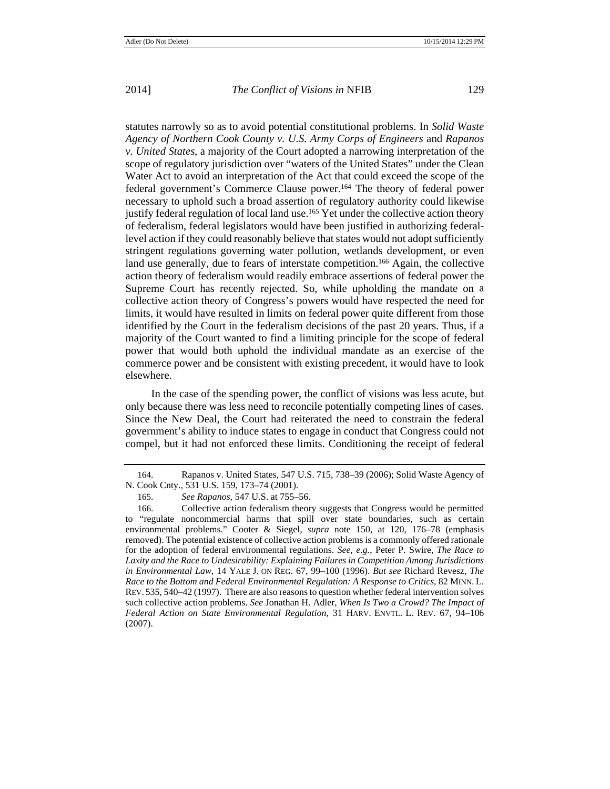statutes narrowly so as to avoid potential constitutional problems. In *Solid Waste Agency of Northern Cook County v. U.S. Army Corps of Engineers* and *Rapanos v. United States*, a majority of the Court adopted a narrowing interpretation of the scope of regulatory jurisdiction over "waters of the United States" under the Clean Water Act to avoid an interpretation of the Act that could exceed the scope of the federal government's Commerce Clause power.164 The theory of federal power necessary to uphold such a broad assertion of regulatory authority could likewise justify federal regulation of local land use.<sup>165</sup> Yet under the collective action theory of federalism, federal legislators would have been justified in authorizing federallevel action if they could reasonably believe that states would not adopt sufficiently stringent regulations governing water pollution, wetlands development, or even land use generally, due to fears of interstate competition.<sup>166</sup> Again, the collective action theory of federalism would readily embrace assertions of federal power the Supreme Court has recently rejected. So, while upholding the mandate on a collective action theory of Congress's powers would have respected the need for limits, it would have resulted in limits on federal power quite different from those identified by the Court in the federalism decisions of the past 20 years. Thus, if a majority of the Court wanted to find a limiting principle for the scope of federal power that would both uphold the individual mandate as an exercise of the commerce power and be consistent with existing precedent, it would have to look elsewhere.

In the case of the spending power, the conflict of visions was less acute, but only because there was less need to reconcile potentially competing lines of cases. Since the New Deal, the Court had reiterated the need to constrain the federal government's ability to induce states to engage in conduct that Congress could not compel, but it had not enforced these limits. Conditioning the receipt of federal

<sup>164.</sup> Rapanos v. United States*,* 547 U.S. 715, 738–39 (2006); Solid Waste Agency of N. Cook Cnty., 531 U.S. 159, 173–74 (2001).

<sup>165.</sup> *See Rapanos*, 547 U.S. at 755–56.

<sup>166.</sup> Collective action federalism theory suggests that Congress would be permitted to "regulate noncommercial harms that spill over state boundaries, such as certain environmental problems." Cooter & Siegel, *supra* note 150, at 120, 176–78 (emphasis removed). The potential existence of collective action problems is a commonly offered rationale for the adoption of federal environmental regulations. *See, e.g.*, Peter P. Swire, *The Race to Laxity and the Race to Undesirability: Explaining Failures in Competition Among Jurisdictions in Environmental Law*, 14 YALE J. ON REG. 67, 99–100 (1996). *But see* Richard Revesz, *The Race to the Bottom and Federal Environmental Regulation: A Response to Critics*, 82 MINN. L. REV. 535, 540–42 (1997). There are also reasons to question whether federal intervention solves such collective action problems. *See* Jonathan H. Adler, *When Is Two a Crowd? The Impact of Federal Action on State Environmental Regulation*, 31 HARV. ENVTL. L. REV. 67, 94–106 (2007).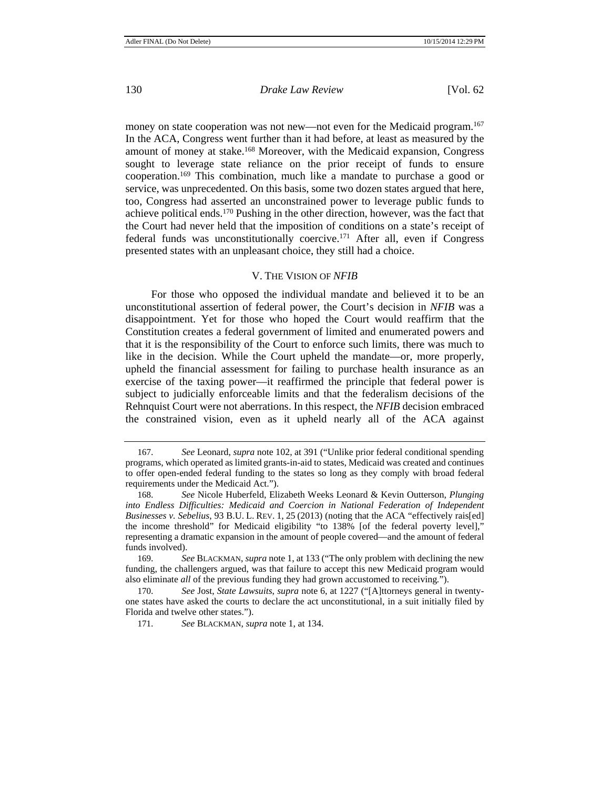money on state cooperation was not new—not even for the Medicaid program.<sup>167</sup> In the ACA, Congress went further than it had before, at least as measured by the amount of money at stake.<sup>168</sup> Moreover, with the Medicaid expansion, Congress sought to leverage state reliance on the prior receipt of funds to ensure cooperation.169 This combination, much like a mandate to purchase a good or service, was unprecedented. On this basis, some two dozen states argued that here, too, Congress had asserted an unconstrained power to leverage public funds to achieve political ends.170 Pushing in the other direction, however, was the fact that the Court had never held that the imposition of conditions on a state's receipt of federal funds was unconstitutionally coercive.171 After all, even if Congress presented states with an unpleasant choice, they still had a choice.

#### V. THE VISION OF *NFIB*

For those who opposed the individual mandate and believed it to be an unconstitutional assertion of federal power, the Court's decision in *NFIB* was a disappointment. Yet for those who hoped the Court would reaffirm that the Constitution creates a federal government of limited and enumerated powers and that it is the responsibility of the Court to enforce such limits, there was much to like in the decision. While the Court upheld the mandate—or, more properly, upheld the financial assessment for failing to purchase health insurance as an exercise of the taxing power—it reaffirmed the principle that federal power is subject to judicially enforceable limits and that the federalism decisions of the Rehnquist Court were not aberrations. In this respect, the *NFIB* decision embraced the constrained vision, even as it upheld nearly all of the ACA against

<sup>167.</sup> *See* Leonard, *supra* note 102, at 391 ("Unlike prior federal conditional spending programs, which operated as limited grants-in-aid to states, Medicaid was created and continues to offer open-ended federal funding to the states so long as they comply with broad federal requirements under the Medicaid Act.").

<sup>168.</sup> *See* Nicole Huberfeld, Elizabeth Weeks Leonard & Kevin Outterson, *Plunging into Endless Difficulties: Medicaid and Coercion in National Federation of Independent Businesses v. Sebelius*, 93 B.U. L. REV. 1, 25 (2013) (noting that the ACA "effectively rais[ed] the income threshold" for Medicaid eligibility "to 138% [of the federal poverty level]," representing a dramatic expansion in the amount of people covered—and the amount of federal funds involved).

<sup>169.</sup> *See* BLACKMAN, *supra* note 1, at 133 ("The only problem with declining the new funding, the challengers argued, was that failure to accept this new Medicaid program would also eliminate *all* of the previous funding they had grown accustomed to receiving*.*").

<sup>170.</sup> *See* Jost, *State Lawsuits*, *supra* note 6, at 1227 ("[A]ttorneys general in twentyone states have asked the courts to declare the act unconstitutional, in a suit initially filed by Florida and twelve other states.").

<sup>171.</sup> *See* BLACKMAN, *supra* note 1, at 134.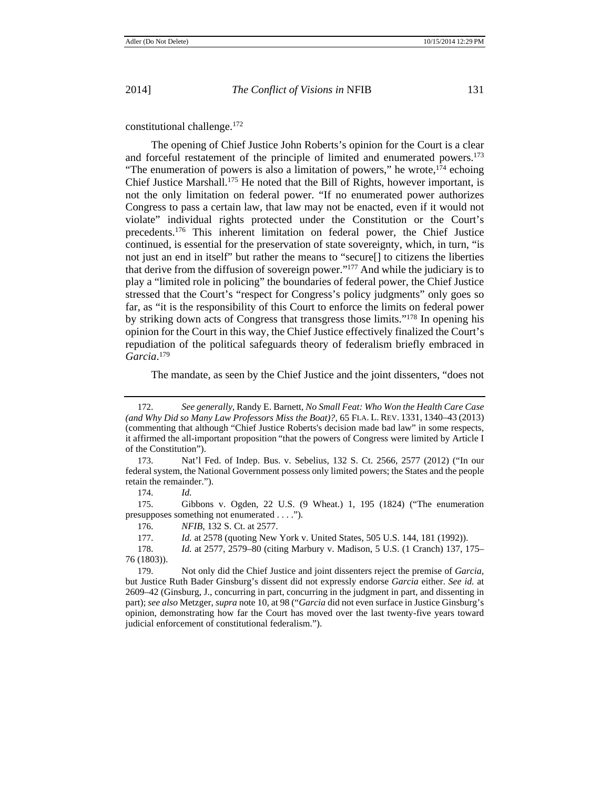constitutional challenge.172

The opening of Chief Justice John Roberts's opinion for the Court is a clear and forceful restatement of the principle of limited and enumerated powers.173 "The enumeration of powers is also a limitation of powers," he wrote, $174$  echoing Chief Justice Marshall.175 He noted that the Bill of Rights, however important, is not the only limitation on federal power. "If no enumerated power authorizes Congress to pass a certain law, that law may not be enacted, even if it would not violate" individual rights protected under the Constitution or the Court's precedents.176 This inherent limitation on federal power, the Chief Justice continued, is essential for the preservation of state sovereignty, which, in turn, "is not just an end in itself" but rather the means to "secure[] to citizens the liberties that derive from the diffusion of sovereign power."177 And while the judiciary is to play a "limited role in policing" the boundaries of federal power, the Chief Justice stressed that the Court's "respect for Congress's policy judgments" only goes so far, as "it is the responsibility of this Court to enforce the limits on federal power by striking down acts of Congress that transgress those limits."178 In opening his opinion for the Court in this way, the Chief Justice effectively finalized the Court's repudiation of the political safeguards theory of federalism briefly embraced in *Garcia*. 179

The mandate, as seen by the Chief Justice and the joint dissenters, "does not

<sup>172.</sup> *See generally*, Randy E. Barnett, *No Small Feat: Who Won the Health Care Case (and Why Did so Many Law Professors Miss the Boat)?*, 65 FLA. L. REV. 1331, 1340–43 (2013) (commenting that although "Chief Justice Roberts's decision made bad law" in some respects, it affirmed the all-important proposition "that the powers of Congress were limited by Article I of the Constitution").

<sup>173.</sup> Nat'l Fed. of Indep. Bus. v. Sebelius, 132 S. Ct. 2566, 2577 (2012) ("In our federal system, the National Government possess only limited powers; the States and the people retain the remainder.").

<sup>174.</sup> *Id.*

<sup>175.</sup> Gibbons v. Ogden, 22 U.S. (9 Wheat.) 1, 195 (1824) ("The enumeration presupposes something not enumerated . . . .").

<sup>176.</sup> *NFIB*, 132 S. Ct. at 2577.

<sup>177.</sup> *Id.* at 2578 (quoting New York v. United States, 505 U.S. 144, 181 (1992)).

<sup>178.</sup> *Id.* at 2577, 2579–80 (citing Marbury v. Madison, 5 U.S. (1 Cranch) 137, 175– 76 (1803)).

<sup>179.</sup> Not only did the Chief Justice and joint dissenters reject the premise of *Garcia*, but Justice Ruth Bader Ginsburg's dissent did not expressly endorse *Garcia* either. *See id.* at 2609–42 (Ginsburg, J., concurring in part, concurring in the judgment in part, and dissenting in part); *see also* Metzger, *supra* note 10, at 98 ("*Garcia* did not even surface in Justice Ginsburg's opinion, demonstrating how far the Court has moved over the last twenty-five years toward judicial enforcement of constitutional federalism.").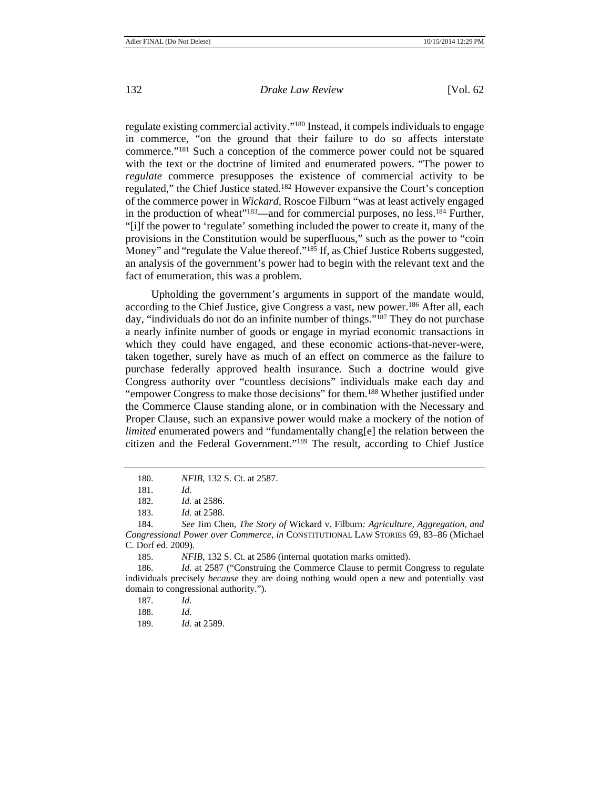regulate existing commercial activity."180 Instead, it compels individuals to engage in commerce, "on the ground that their failure to do so affects interstate commerce."181 Such a conception of the commerce power could not be squared with the text or the doctrine of limited and enumerated powers. "The power to *regulate* commerce presupposes the existence of commercial activity to be regulated," the Chief Justice stated.182 However expansive the Court's conception of the commerce power in *Wickard,* Roscoe Filburn "was at least actively engaged in the production of wheat"<sup>183</sup>—and for commercial purposes, no less.<sup>184</sup> Further, "[i]f the power to 'regulate' something included the power to create it, many of the provisions in the Constitution would be superfluous," such as the power to "coin Money" and "regulate the Value thereof."<sup>185</sup> If, as Chief Justice Roberts suggested, an analysis of the government's power had to begin with the relevant text and the fact of enumeration, this was a problem.

Upholding the government's arguments in support of the mandate would, according to the Chief Justice, give Congress a vast, new power.<sup>186</sup> After all, each day, "individuals do not do an infinite number of things."<sup>187</sup> They do not purchase a nearly infinite number of goods or engage in myriad economic transactions in which they could have engaged, and these economic actions-that-never-were, taken together, surely have as much of an effect on commerce as the failure to purchase federally approved health insurance. Such a doctrine would give Congress authority over "countless decisions" individuals make each day and "empower Congress to make those decisions" for them.<sup>188</sup> Whether justified under the Commerce Clause standing alone, or in combination with the Necessary and Proper Clause, such an expansive power would make a mockery of the notion of *limited* enumerated powers and "fundamentally chang[e] the relation between the citizen and the Federal Government."189 The result, according to Chief Justice

<sup>180.</sup> *NFIB*, 132 S. Ct. at 2587.

<sup>181.</sup> *Id.*

<sup>182.</sup> *Id.* at 2586.

<sup>183.</sup> *Id.* at 2588.

<sup>184.</sup> *See* Jim Chen, *The Story of* Wickard v. Filburn*: Agriculture, Aggregation, and Congressional Power over Commerce*, *in* CONSTITUTIONAL LAW STORIES 69, 83–86 (Michael C. Dorf ed. 2009).

<sup>185.</sup> *NFIB*, 132 S. Ct. at 2586 (internal quotation marks omitted).

<sup>186.</sup> *Id.* at 2587 ("Construing the Commerce Clause to permit Congress to regulate individuals precisely *because* they are doing nothing would open a new and potentially vast domain to congressional authority.").

<sup>187.</sup> *Id.*

<sup>188.</sup> *Id.*

<sup>189.</sup> *Id.* at 2589.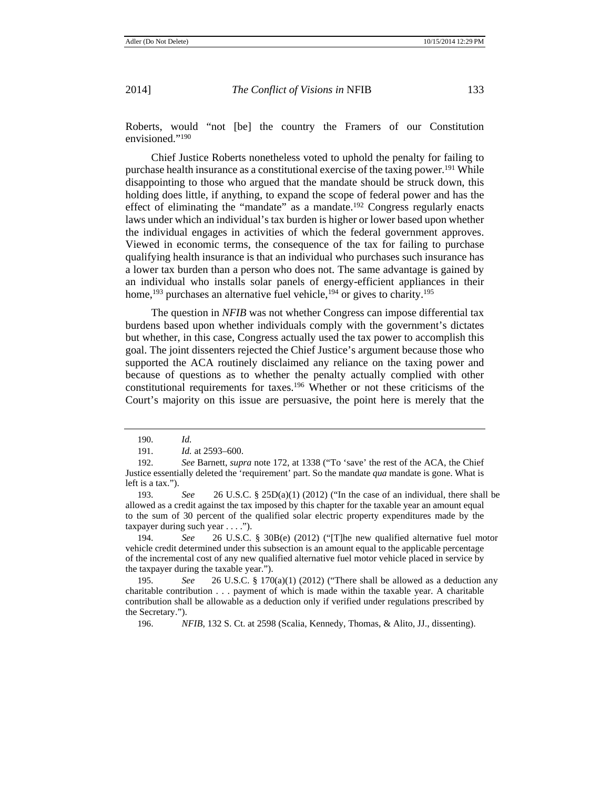Roberts, would "not [be] the country the Framers of our Constitution envisioned."190

Chief Justice Roberts nonetheless voted to uphold the penalty for failing to purchase health insurance as a constitutional exercise of the taxing power.<sup>191</sup> While disappointing to those who argued that the mandate should be struck down, this holding does little, if anything, to expand the scope of federal power and has the effect of eliminating the "mandate" as a mandate.<sup>192</sup> Congress regularly enacts laws under which an individual's tax burden is higher or lower based upon whether the individual engages in activities of which the federal government approves. Viewed in economic terms, the consequence of the tax for failing to purchase qualifying health insurance is that an individual who purchases such insurance has a lower tax burden than a person who does not. The same advantage is gained by an individual who installs solar panels of energy-efficient appliances in their home,<sup>193</sup> purchases an alternative fuel vehicle,<sup>194</sup> or gives to charity.<sup>195</sup>

The question in *NFIB* was not whether Congress can impose differential tax burdens based upon whether individuals comply with the government's dictates but whether, in this case, Congress actually used the tax power to accomplish this goal. The joint dissenters rejected the Chief Justice's argument because those who supported the ACA routinely disclaimed any reliance on the taxing power and because of questions as to whether the penalty actually complied with other constitutional requirements for taxes.196 Whether or not these criticisms of the Court's majority on this issue are persuasive, the point here is merely that the

196. *NFIB*, 132 S. Ct. at 2598 (Scalia, Kennedy, Thomas, & Alito, JJ., dissenting).

<sup>190.</sup> *Id.*

<sup>191.</sup> *Id.* at 2593–600.

<sup>192.</sup> *See* Barnett, *supra* note 172, at 1338 ("To 'save' the rest of the ACA, the Chief Justice essentially deleted the 'requirement' part. So the mandate *qua* mandate is gone. What is left is a tax.").

<sup>193</sup>. *See* 26 U.S.C. § 25D(a)(1) (2012) ("In the case of an individual, there shall be allowed as a credit against the tax imposed by this chapter for the taxable year an amount equal to the sum of 30 percent of the qualified solar electric property expenditures made by the taxpayer during such year . . . .").

<sup>194</sup>. *See* 26 U.S.C. § 30B(e) (2012) ("[T]he new qualified alternative fuel motor vehicle credit determined under this subsection is an amount equal to the applicable percentage of the incremental cost of any new qualified alternative fuel motor vehicle placed in service by the taxpayer during the taxable year.").

<sup>195</sup>. *See* 26 U.S.C. § 170(a)(1) (2012) ("There shall be allowed as a deduction any charitable contribution . . . payment of which is made within the taxable year. A charitable contribution shall be allowable as a deduction only if verified under regulations prescribed by the Secretary.").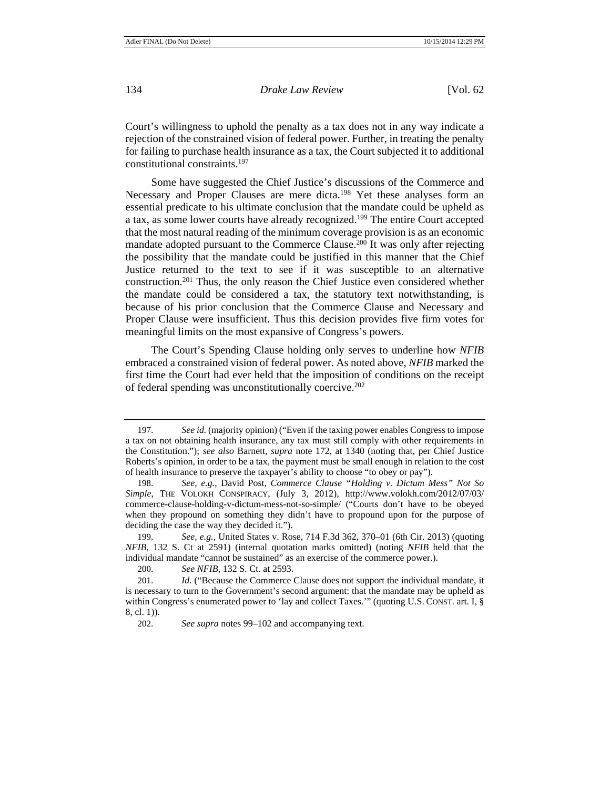Court's willingness to uphold the penalty as a tax does not in any way indicate a rejection of the constrained vision of federal power. Further, in treating the penalty for failing to purchase health insurance as a tax, the Court subjected it to additional constitutional constraints.197

Some have suggested the Chief Justice's discussions of the Commerce and Necessary and Proper Clauses are mere dicta.<sup>198</sup> Yet these analyses form an essential predicate to his ultimate conclusion that the mandate could be upheld as a tax, as some lower courts have already recognized.199 The entire Court accepted that the most natural reading of the minimum coverage provision is as an economic mandate adopted pursuant to the Commerce Clause.<sup>200</sup> It was only after rejecting the possibility that the mandate could be justified in this manner that the Chief Justice returned to the text to see if it was susceptible to an alternative construction.201 Thus, the only reason the Chief Justice even considered whether the mandate could be considered a tax, the statutory text notwithstanding, is because of his prior conclusion that the Commerce Clause and Necessary and Proper Clause were insufficient. Thus this decision provides five firm votes for meaningful limits on the most expansive of Congress's powers.

The Court's Spending Clause holding only serves to underline how *NFIB*  embraced a constrained vision of federal power. As noted above, *NFIB* marked the first time the Court had ever held that the imposition of conditions on the receipt of federal spending was unconstitutionally coercive.202

<sup>197.</sup> *See id.* (majority opinion) ("Even if the taxing power enables Congress to impose a tax on not obtaining health insurance, any tax must still comply with other requirements in the Constitution."); *see also* Barnett, *supra* note 172, at 1340 (noting that, per Chief Justice Roberts's opinion, in order to be a tax, the payment must be small enough in relation to the cost of health insurance to preserve the taxpayer's ability to choose "to obey or pay").

<sup>198.</sup> *See, e.g.*, David Post, *Commerce Clause "Holding v. Dictum Mess" Not So Simple*, THE VOLOKH CONSPIRACY, (July 3, 2012), http://www.volokh.com/2012/07/03/ commerce-clause-holding-v-dictum-mess-not-so-simple/ ("Courts don't have to be obeyed when they propound on something they didn't have to propound upon for the purpose of deciding the case the way they decided it.").

<sup>199.</sup> *See, e.g.*, United States v. Rose, 714 F.3d 362, 370–01 (6th Cir. 2013) (quoting *NFIB*, 132 S. Ct at 2591) (internal quotation marks omitted) (noting *NFIB* held that the individual mandate "cannot be sustained" as an exercise of the commerce power.).

<sup>200.</sup> *See NFIB*, 132 S. Ct. at 2593.

<sup>201.</sup> *Id.* ("Because the Commerce Clause does not support the individual mandate, it is necessary to turn to the Government's second argument: that the mandate may be upheld as within Congress's enumerated power to 'lay and collect Taxes.'" (quoting U.S. CONST. art. I, § 8, cl. 1)).

<sup>202.</sup> *See supra* notes 99–102 and accompanying text.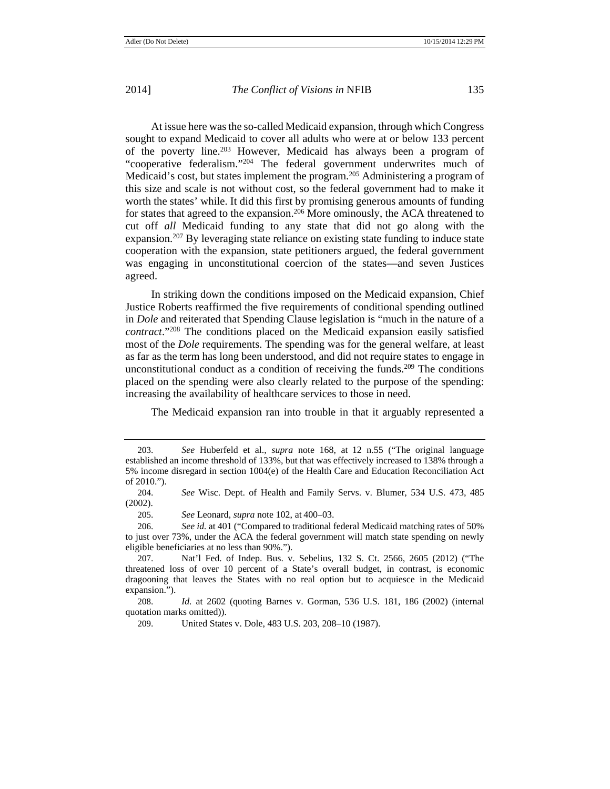At issue here was the so-called Medicaid expansion, through which Congress sought to expand Medicaid to cover all adults who were at or below 133 percent of the poverty line.203 However, Medicaid has always been a program of "cooperative federalism."204 The federal government underwrites much of Medicaid's cost, but states implement the program.205 Administering a program of this size and scale is not without cost, so the federal government had to make it worth the states' while. It did this first by promising generous amounts of funding for states that agreed to the expansion.<sup>206</sup> More ominously, the ACA threatened to cut off *all* Medicaid funding to any state that did not go along with the expansion.207 By leveraging state reliance on existing state funding to induce state cooperation with the expansion, state petitioners argued, the federal government was engaging in unconstitutional coercion of the states—and seven Justices agreed.

In striking down the conditions imposed on the Medicaid expansion, Chief Justice Roberts reaffirmed the five requirements of conditional spending outlined in *Dole* and reiterated that Spending Clause legislation is "much in the nature of a *contract*."208 The conditions placed on the Medicaid expansion easily satisfied most of the *Dole* requirements. The spending was for the general welfare, at least as far as the term has long been understood, and did not require states to engage in unconstitutional conduct as a condition of receiving the funds.<sup>209</sup> The conditions placed on the spending were also clearly related to the purpose of the spending: increasing the availability of healthcare services to those in need.

The Medicaid expansion ran into trouble in that it arguably represented a

<sup>203.</sup> *See* Huberfeld et al., *supra* note 168, at 12 n.55 ("The original language established an income threshold of 133%, but that was effectively increased to 138% through a 5% income disregard in section 1004(e) of the Health Care and Education Reconciliation Act of 2010.").

<sup>204.</sup> *See* Wisc. Dept. of Health and Family Servs. v. Blumer, 534 U.S. 473, 485 (2002).

<sup>205.</sup> *See* Leonard, *supra* note 102, at 400–03.

<sup>206.</sup> *See id.* at 401 ("Compared to traditional federal Medicaid matching rates of 50% to just over 73%, under the ACA the federal government will match state spending on newly eligible beneficiaries at no less than 90%.").

<sup>207.</sup> Nat'l Fed. of Indep. Bus. v. Sebelius, 132 S. Ct. 2566, 2605 (2012) ("The threatened loss of over 10 percent of a State's overall budget, in contrast, is economic dragooning that leaves the States with no real option but to acquiesce in the Medicaid expansion.").

<sup>208.</sup> *Id.* at 2602 (quoting Barnes v. Gorman, 536 U.S. 181, 186 (2002) (internal quotation marks omitted)).

<sup>209.</sup> United States v. Dole, 483 U.S. 203, 208–10 (1987).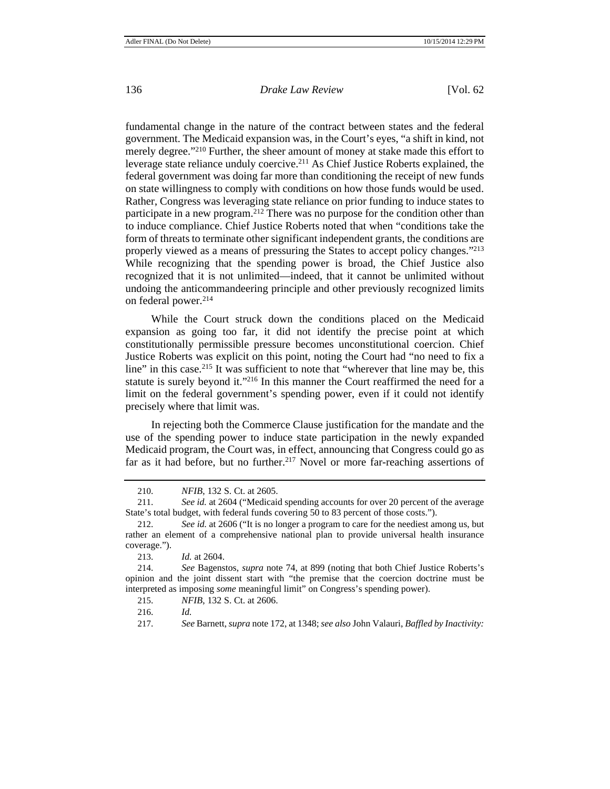fundamental change in the nature of the contract between states and the federal government. The Medicaid expansion was, in the Court's eyes, "a shift in kind, not merely degree."<sup>210</sup> Further, the sheer amount of money at stake made this effort to leverage state reliance unduly coercive.211 As Chief Justice Roberts explained, the federal government was doing far more than conditioning the receipt of new funds on state willingness to comply with conditions on how those funds would be used. Rather, Congress was leveraging state reliance on prior funding to induce states to participate in a new program.212 There was no purpose for the condition other than to induce compliance. Chief Justice Roberts noted that when "conditions take the form of threats to terminate other significant independent grants, the conditions are properly viewed as a means of pressuring the States to accept policy changes."213 While recognizing that the spending power is broad, the Chief Justice also recognized that it is not unlimited—indeed, that it cannot be unlimited without undoing the anticommandeering principle and other previously recognized limits on federal power.214

While the Court struck down the conditions placed on the Medicaid expansion as going too far, it did not identify the precise point at which constitutionally permissible pressure becomes unconstitutional coercion. Chief Justice Roberts was explicit on this point, noting the Court had "no need to fix a line" in this case.<sup>215</sup> It was sufficient to note that "wherever that line may be, this statute is surely beyond it."216 In this manner the Court reaffirmed the need for a limit on the federal government's spending power, even if it could not identify precisely where that limit was.

In rejecting both the Commerce Clause justification for the mandate and the use of the spending power to induce state participation in the newly expanded Medicaid program, the Court was, in effect, announcing that Congress could go as far as it had before, but no further.<sup>217</sup> Novel or more far-reaching assertions of

<sup>210.</sup> *NFIB*, 132 S. Ct. at 2605.

<sup>211.</sup> *See id.* at 2604 ("Medicaid spending accounts for over 20 percent of the average State's total budget, with federal funds covering 50 to 83 percent of those costs.").

<sup>212.</sup> *See id.* at 2606 ("It is no longer a program to care for the neediest among us, but rather an element of a comprehensive national plan to provide universal health insurance coverage.").

<sup>213.</sup> *Id.* at 2604.

<sup>214.</sup> *See* Bagenstos, *supra* note 74, at 899 (noting that both Chief Justice Roberts's opinion and the joint dissent start with "the premise that the coercion doctrine must be interpreted as imposing *some* meaningful limit" on Congress's spending power).

<sup>215.</sup> *NFIB*, 132 S. Ct. at 2606.

<sup>216.</sup> *Id.*

<sup>217.</sup> *See* Barnett, *supra* note 172, at 1348; *see also* John Valauri, *Baffled by Inactivity:*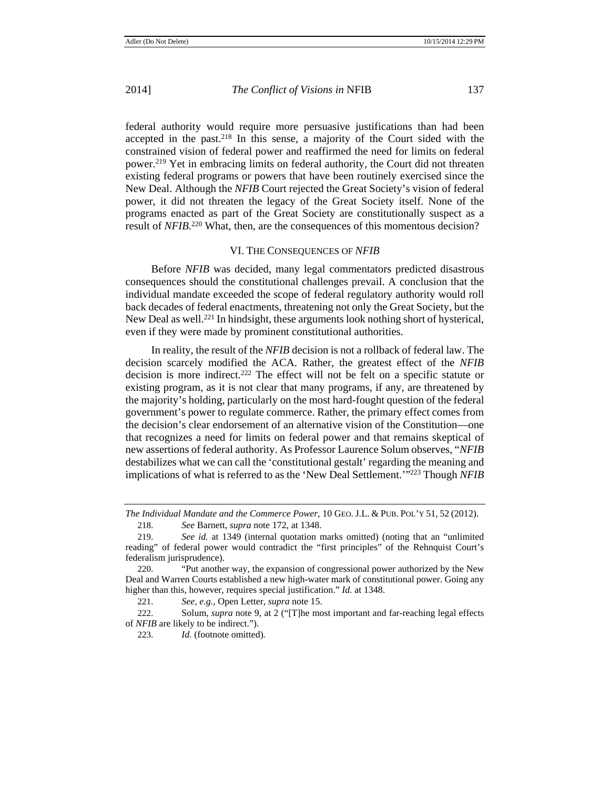federal authority would require more persuasive justifications than had been accepted in the past.218 In this sense, a majority of the Court sided with the constrained vision of federal power and reaffirmed the need for limits on federal power.219 Yet in embracing limits on federal authority, the Court did not threaten existing federal programs or powers that have been routinely exercised since the New Deal. Although the *NFIB* Court rejected the Great Society's vision of federal power, it did not threaten the legacy of the Great Society itself. None of the programs enacted as part of the Great Society are constitutionally suspect as a result of *NFIB*.<sup>220</sup> What, then, are the consequences of this momentous decision?

## VI. THE CONSEQUENCES OF *NFIB*

Before *NFIB* was decided, many legal commentators predicted disastrous consequences should the constitutional challenges prevail. A conclusion that the individual mandate exceeded the scope of federal regulatory authority would roll back decades of federal enactments, threatening not only the Great Society, but the New Deal as well.221 In hindsight, these arguments look nothing short of hysterical, even if they were made by prominent constitutional authorities.

In reality, the result of the *NFIB* decision is not a rollback of federal law. The decision scarcely modified the ACA. Rather, the greatest effect of the *NFIB* decision is more indirect.<sup>222</sup> The effect will not be felt on a specific statute or existing program, as it is not clear that many programs, if any, are threatened by the majority's holding, particularly on the most hard-fought question of the federal government's power to regulate commerce. Rather, the primary effect comes from the decision's clear endorsement of an alternative vision of the Constitution—one that recognizes a need for limits on federal power and that remains skeptical of new assertions of federal authority. As Professor Laurence Solum observes, "*NFIB*  destabilizes what we can call the 'constitutional gestalt' regarding the meaning and implications of what is referred to as the 'New Deal Settlement.'"223 Though *NFIB* 

223. *Id.* (footnote omitted)*.*

*The Individual Mandate and the Commerce Power*, 10 GEO. J.L. & PUB. POL'Y 51, 52 (2012). 218. *See* Barnett, *supra* note 172, at 1348.

<sup>219.</sup> *See id.* at 1349 (internal quotation marks omitted) (noting that an "unlimited reading" of federal power would contradict the "first principles" of the Rehnquist Court's federalism jurisprudence).

<sup>220.</sup> "Put another way, the expansion of congressional power authorized by the New Deal and Warren Courts established a new high-water mark of constitutional power. Going any higher than this, however, requires special justification." *Id.* at 1348.

<sup>221.</sup> *See, e.g.,* Open Letter, *supra* note 15.

<sup>222.</sup> Solum, *supra* note 9, at 2 ("[T]he most important and far-reaching legal effects of *NFIB* are likely to be indirect.").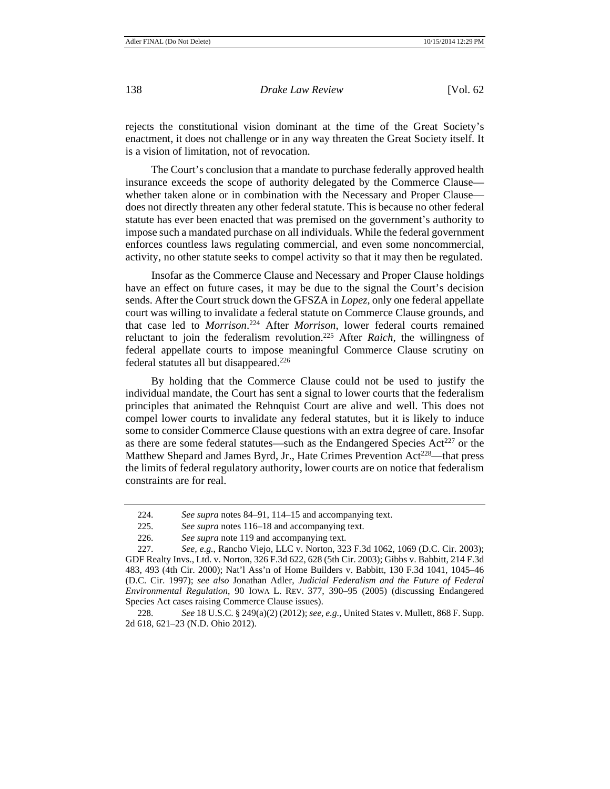rejects the constitutional vision dominant at the time of the Great Society's enactment, it does not challenge or in any way threaten the Great Society itself. It is a vision of limitation, not of revocation.

The Court's conclusion that a mandate to purchase federally approved health insurance exceeds the scope of authority delegated by the Commerce Clause whether taken alone or in combination with the Necessary and Proper Clause does not directly threaten any other federal statute. This is because no other federal statute has ever been enacted that was premised on the government's authority to impose such a mandated purchase on all individuals. While the federal government enforces countless laws regulating commercial, and even some noncommercial, activity, no other statute seeks to compel activity so that it may then be regulated.

Insofar as the Commerce Clause and Necessary and Proper Clause holdings have an effect on future cases, it may be due to the signal the Court's decision sends. After the Court struck down the GFSZA in *Lopez*, only one federal appellate court was willing to invalidate a federal statute on Commerce Clause grounds, and that case led to *Morrison*. 224 After *Morrison*, lower federal courts remained reluctant to join the federalism revolution.225 After *Raich*, the willingness of federal appellate courts to impose meaningful Commerce Clause scrutiny on federal statutes all but disappeared.226

By holding that the Commerce Clause could not be used to justify the individual mandate, the Court has sent a signal to lower courts that the federalism principles that animated the Rehnquist Court are alive and well. This does not compel lower courts to invalidate any federal statutes, but it is likely to induce some to consider Commerce Clause questions with an extra degree of care. Insofar as there are some federal statutes—such as the Endangered Species  $Act^{227}$  or the Matthew Shepard and James Byrd, Jr., Hate Crimes Prevention Act<sup>228</sup>—that press the limits of federal regulatory authority, lower courts are on notice that federalism constraints are for real.

<sup>224.</sup> *See supra* notes 84–91, 114–15 and accompanying text.

<sup>225.</sup> *See supra* notes 116–18 and accompanying text.

<sup>226.</sup> *See supra* note 119 and accompanying text.

<sup>227.</sup> *See, e.g.*, Rancho Viejo, LLC v. Norton, 323 F.3d 1062, 1069 (D.C. Cir. 2003); GDF Realty Invs., Ltd. v. Norton, 326 F.3d 622, 628 (5th Cir. 2003); Gibbs v. Babbitt, 214 F.3d 483, 493 (4th Cir. 2000); Nat'l Ass'n of Home Builders v. Babbitt, 130 F.3d 1041, 1045–46 (D.C. Cir. 1997); *see also* Jonathan Adler, *Judicial Federalism and the Future of Federal Environmental Regulation*, 90 IOWA L. REV. 377, 390–95 (2005) (discussing Endangered Species Act cases raising Commerce Clause issues).

<sup>228.</sup> *See* 18 U.S.C. § 249(a)(2) (2012); *see, e.g.*, United States v. Mullett, 868 F. Supp. 2d 618, 621–23 (N.D. Ohio 2012).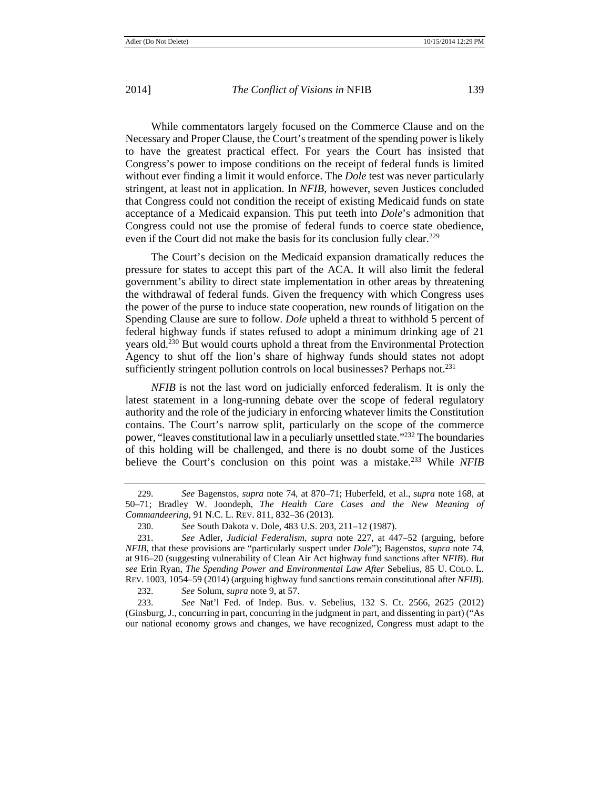While commentators largely focused on the Commerce Clause and on the Necessary and Proper Clause, the Court's treatment of the spending power is likely to have the greatest practical effect. For years the Court has insisted that Congress's power to impose conditions on the receipt of federal funds is limited without ever finding a limit it would enforce. The *Dole* test was never particularly stringent, at least not in application. In *NFIB*, however, seven Justices concluded that Congress could not condition the receipt of existing Medicaid funds on state acceptance of a Medicaid expansion. This put teeth into *Dole*'s admonition that Congress could not use the promise of federal funds to coerce state obedience, even if the Court did not make the basis for its conclusion fully clear.<sup>229</sup>

The Court's decision on the Medicaid expansion dramatically reduces the pressure for states to accept this part of the ACA. It will also limit the federal government's ability to direct state implementation in other areas by threatening the withdrawal of federal funds. Given the frequency with which Congress uses the power of the purse to induce state cooperation, new rounds of litigation on the Spending Clause are sure to follow. *Dole* upheld a threat to withhold 5 percent of federal highway funds if states refused to adopt a minimum drinking age of 21 years old.230 But would courts uphold a threat from the Environmental Protection Agency to shut off the lion's share of highway funds should states not adopt sufficiently stringent pollution controls on local businesses? Perhaps not.<sup>231</sup>

*NFIB* is not the last word on judicially enforced federalism. It is only the latest statement in a long-running debate over the scope of federal regulatory authority and the role of the judiciary in enforcing whatever limits the Constitution contains. The Court's narrow split, particularly on the scope of the commerce power, "leaves constitutional law in a peculiarly unsettled state."232 The boundaries of this holding will be challenged, and there is no doubt some of the Justices believe the Court's conclusion on this point was a mistake.233 While *NFIB*

232. *See* Solum, *supra* note 9, at 57.

233. *See* Nat'l Fed. of Indep. Bus. v. Sebelius, 132 S. Ct. 2566, 2625 (2012) (Ginsburg, J., concurring in part, concurring in the judgment in part, and dissenting in part) ("As our national economy grows and changes, we have recognized, Congress must adapt to the

<sup>229.</sup> *See* Bagenstos, *supra* note 74, at 870–71; Huberfeld, et al., *supra* note 168, at 50–71; Bradley W. Joondeph, *The Health Care Cases and the New Meaning of Commandeering*, 91 N.C. L. REV. 811, 832–36 (2013).

<sup>230.</sup> *See* South Dakota v. Dole, 483 U.S. 203, 211–12 (1987).

<sup>231.</sup> *See* Adler, *Judicial Federalism*, *supra* note 227, at 447–52 (arguing, before *NFIB*, that these provisions are "particularly suspect under *Dole*"); Bagenstos, *supra* note 74, at 916–20 (suggesting vulnerability of Clean Air Act highway fund sanctions after *NFIB*). *But see* Erin Ryan, *The Spending Power and Environmental Law After* Sebelius, 85 U. COLO. L. REV. 1003, 1054–59 (2014) (arguing highway fund sanctions remain constitutional after *NFIB*).